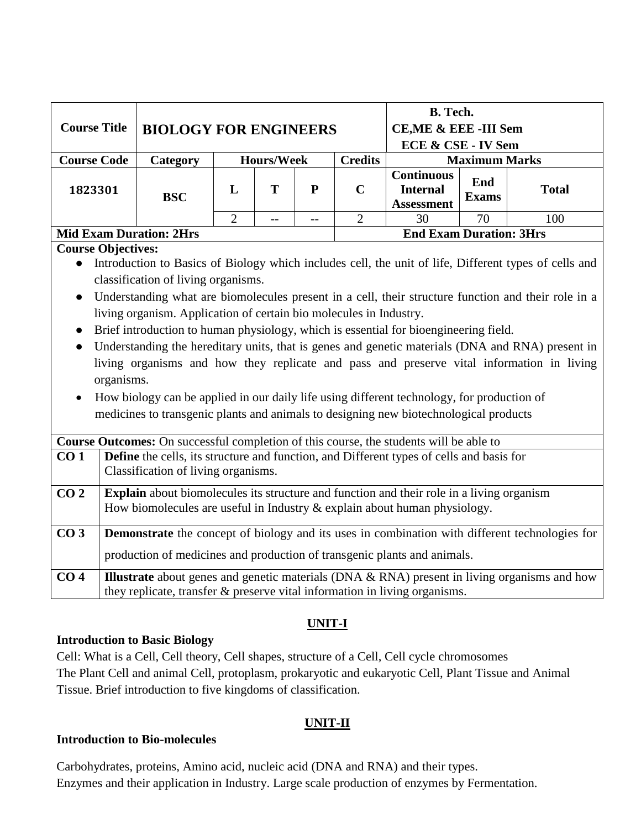| <b>Course Title</b> | <b>BIOLOGY FOR ENGINEERS</b> |   |                   |   |                | B. Tech.<br><b>CE, ME &amp; EEE -III Sem</b><br>ECE & CSE - IV Sem |                     |              |  |
|---------------------|------------------------------|---|-------------------|---|----------------|--------------------------------------------------------------------|---------------------|--------------|--|
| <b>Course Code</b>  | Category                     |   | <b>Hours/Week</b> |   | <b>Credits</b> | <b>Maximum Marks</b>                                               |                     |              |  |
| 1823301             | <b>BSC</b>                   | L | т                 | P | $\mathbf C$    | <b>Continuous</b><br><b>Internal</b><br><b>Assessment</b>          | End<br><b>Exams</b> | <b>Total</b> |  |
|                     |                              |   | --                |   |                | 30                                                                 | 70                  | 100          |  |

# **Mid Exam Duration: 2Hrs End Exam Duration: 3Hrs**

#### **Course Objectives:**

- Introduction to Basics of Biology which includes cell, the unit of life, Different types of cells and classification of living organisms.
- Understanding what are biomolecules present in a cell, their structure function and their role in a living organism. Application of certain bio molecules in Industry.
- Brief introduction to human physiology, which is essential for bioengineering field.
- Understanding the hereditary units, that is genes and genetic materials (DNA and RNA) present in living organisms and how they replicate and pass and preserve vital information in living organisms.
- How biology can be applied in our daily life using different technology, for production of medicines to transgenic plants and animals to designing new biotechnological products

|                 | <b>Course Outcomes:</b> On successful completion of this course, the students will be able to         |
|-----------------|-------------------------------------------------------------------------------------------------------|
| CO <sub>1</sub> | <b>Define</b> the cells, its structure and function, and Different types of cells and basis for       |
|                 | Classification of living organisms.                                                                   |
| CO <sub>2</sub> | <b>Explain</b> about biomolecules its structure and function and their role in a living organism      |
|                 | How biomolecules are useful in Industry $\&$ explain about human physiology.                          |
| CO <sub>3</sub> | <b>Demonstrate</b> the concept of biology and its uses in combination with different technologies for |
|                 | production of medicines and production of transgenic plants and animals.                              |
| CO <sub>4</sub> | <b>Illustrate</b> about genes and genetic materials (DNA & RNA) present in living organisms and how   |
|                 | they replicate, transfer & preserve vital information in living organisms.                            |

# **UNIT-I**

# **Introduction to Basic Biology**

Cell: What is a Cell, Cell theory, Cell shapes, structure of a Cell, Cell cycle chromosomes The Plant Cell and animal Cell, protoplasm, prokaryotic and eukaryotic Cell, Plant Tissue and Animal Tissue. Brief introduction to five kingdoms of classification.

# **UNIT-II**

# **Introduction to Bio-molecules**

Carbohydrates, proteins, Amino acid, nucleic acid (DNA and RNA) and their types. Enzymes and their application in Industry. Large scale production of enzymes by Fermentation.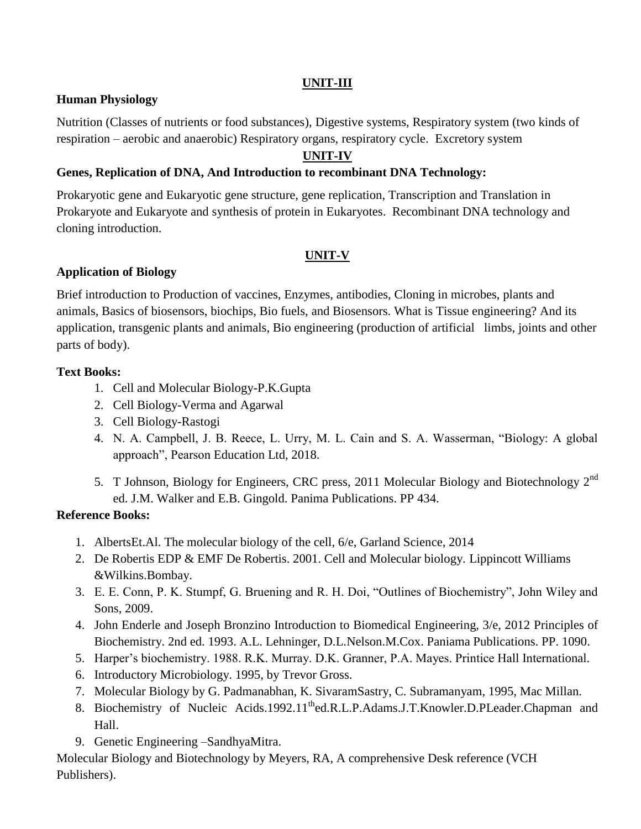# **UNIT-III**

# **Human Physiology**

Nutrition (Classes of nutrients or food substances), Digestive systems, Respiratory system (two kinds of respiration – aerobic and anaerobic) Respiratory organs, respiratory cycle. Excretory system

# **UNIT-IV**

# **Genes, Replication of DNA, And Introduction to recombinant DNA Technology:**

Prokaryotic gene and Eukaryotic gene structure, gene replication, Transcription and Translation in Prokaryote and Eukaryote and synthesis of protein in Eukaryotes. Recombinant DNA technology and cloning introduction.

# **UNIT-V**

# **Application of Biology**

Brief introduction to Production of vaccines, Enzymes, antibodies, Cloning in microbes, plants and animals, Basics of biosensors, biochips, Bio fuels, and Biosensors. What is Tissue engineering? And its application, transgenic plants and animals, Bio engineering (production of artificial limbs, joints and other parts of body).

# **Text Books:**

- 1. Cell and Molecular Biology-P.K.Gupta
- 2. Cell Biology-Verma and Agarwal
- 3. Cell Biology-Rastogi
- 4. N. A. Campbell, J. B. Reece, L. Urry, M. L. Cain and S. A. Wasserman, "Biology: A global approach", Pearson Education Ltd, 2018.
- 5. T Johnson, Biology for Engineers, CRC press, 2011 Molecular Biology and Biotechnology 2<sup>nd</sup> ed. J.M. Walker and E.B. Gingold. Panima Publications. PP 434.

# **Reference Books:**

- 1. AlbertsEt.Al. The molecular biology of the cell, 6/e, Garland Science, 2014
- 2. De Robertis EDP & EMF De Robertis. 2001. Cell and Molecular biology*.* Lippincott Williams &Wilkins.Bombay.
- 3. E. E. Conn, P. K. Stumpf, G. Bruening and R. H. Doi, "Outlines of Biochemistry", John Wiley and Sons, 2009.
- 4. John Enderle and Joseph Bronzino Introduction to Biomedical Engineering, 3/e, 2012 Principles of Biochemistry. 2nd ed. 1993. A.L. Lehninger, D.L.Nelson.M.Cox. Paniama Publications. PP. 1090.
- 5. Harper's biochemistry. 1988. R.K. Murray. D.K. Granner, P.A. Mayes. Printice Hall International.
- 6. Introductory Microbiology. 1995, by Trevor Gross.
- 7. Molecular Biology by G. Padmanabhan, K. SivaramSastry, C. Subramanyam, 1995, Mac Millan.
- 8. Biochemistry of Nucleic Acids.1992.11<sup>th</sup>ed.R.L.P.Adams.J.T.Knowler.D.PLeader.Chapman and Hall.
- 9. Genetic Engineering –SandhyaMitra.

Molecular Biology and Biotechnology by Meyers, RA, A comprehensive Desk reference (VCH Publishers).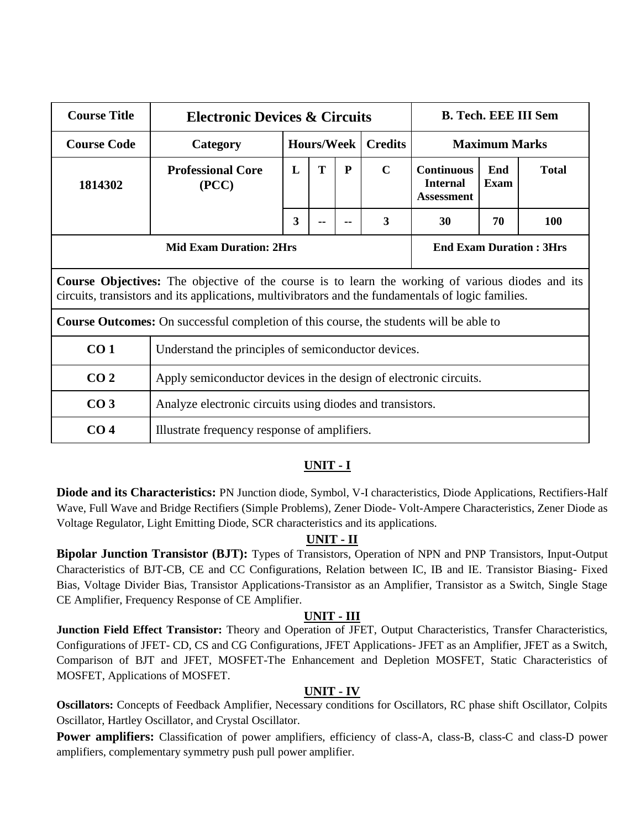| <b>Course Title</b> |                                                                                                                                                                                                               | <b>Electronic Devices &amp; Circuits</b>                          |                   |   |                |                                                           |                    |              |  |  |  |
|---------------------|---------------------------------------------------------------------------------------------------------------------------------------------------------------------------------------------------------------|-------------------------------------------------------------------|-------------------|---|----------------|-----------------------------------------------------------|--------------------|--------------|--|--|--|
| <b>Course Code</b>  | Category                                                                                                                                                                                                      |                                                                   | <b>Hours/Week</b> |   | <b>Credits</b> | <b>Maximum Marks</b>                                      |                    |              |  |  |  |
| 1814302             | <b>Professional Core</b><br>(PCC)                                                                                                                                                                             | L                                                                 | T                 | P | $\mathbf C$    | <b>Continuous</b><br><b>Internal</b><br><b>Assessment</b> | End<br><b>Exam</b> | <b>Total</b> |  |  |  |
|                     | 3<br>3<br>30<br>70<br>100                                                                                                                                                                                     |                                                                   |                   |   |                |                                                           |                    |              |  |  |  |
|                     |                                                                                                                                                                                                               | <b>Mid Exam Duration: 2Hrs</b><br><b>End Exam Duration: 3Hrs</b>  |                   |   |                |                                                           |                    |              |  |  |  |
|                     | <b>Course Objectives:</b> The objective of the course is to learn the working of various diodes and its<br>circuits, transistors and its applications, multivibrators and the fundamentals of logic families. |                                                                   |                   |   |                |                                                           |                    |              |  |  |  |
|                     | Course Outcomes: On successful completion of this course, the students will be able to                                                                                                                        |                                                                   |                   |   |                |                                                           |                    |              |  |  |  |
| CO <sub>1</sub>     | Understand the principles of semiconductor devices.                                                                                                                                                           |                                                                   |                   |   |                |                                                           |                    |              |  |  |  |
| CO <sub>2</sub>     |                                                                                                                                                                                                               | Apply semiconductor devices in the design of electronic circuits. |                   |   |                |                                                           |                    |              |  |  |  |
| CO <sub>3</sub>     |                                                                                                                                                                                                               | Analyze electronic circuits using diodes and transistors.         |                   |   |                |                                                           |                    |              |  |  |  |
| CO <sub>4</sub>     | Illustrate frequency response of amplifiers.                                                                                                                                                                  |                                                                   |                   |   |                |                                                           |                    |              |  |  |  |

**Diode and its Characteristics:** PN Junction diode, Symbol, V-I characteristics, Diode Applications, Rectifiers-Half Wave, Full Wave and Bridge Rectifiers (Simple Problems), Zener Diode- Volt-Ampere Characteristics, Zener Diode as Voltage Regulator, Light Emitting Diode, SCR characteristics and its applications.

# **UNIT - II**

**Bipolar Junction Transistor (BJT):** Types of Transistors, Operation of NPN and PNP Transistors, Input-Output Characteristics of BJT-CB, CE and CC Configurations, Relation between IC, IB and IE. Transistor Biasing- Fixed Bias, Voltage Divider Bias, Transistor Applications-Transistor as an Amplifier, Transistor as a Switch, Single Stage CE Amplifier, Frequency Response of CE Amplifier.

# **UNIT - III**

**Junction Field Effect Transistor:** Theory and Operation of JFET, Output Characteristics, Transfer Characteristics, Configurations of JFET- CD, CS and CG Configurations, JFET Applications- JFET as an Amplifier, JFET as a Switch, Comparison of BJT and JFET, MOSFET-The Enhancement and Depletion MOSFET, Static Characteristics of MOSFET, Applications of MOSFET.

# **UNIT - IV**

**Oscillators:** Concepts of Feedback Amplifier, Necessary conditions for Oscillators, RC phase shift Oscillator, Colpits Oscillator, Hartley Oscillator, and Crystal Oscillator.

**Power amplifiers:** Classification of power amplifiers, efficiency of class-A, class-B, class-C and class-D power amplifiers, complementary symmetry push pull power amplifier.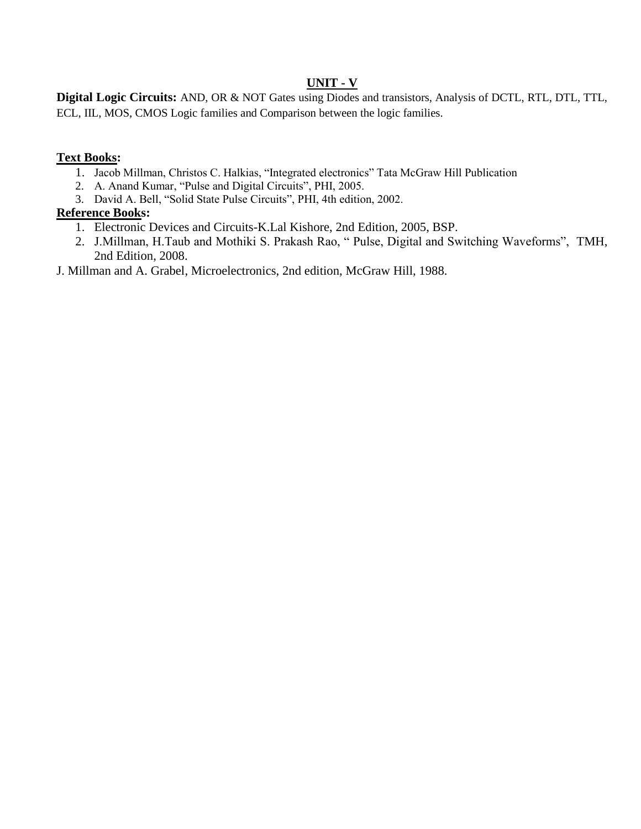# **UNIT - V**

**Digital Logic Circuits:** AND, OR & NOT Gates using Diodes and transistors, Analysis of DCTL, RTL, DTL, TTL, ECL, IIL, MOS, CMOS Logic families and Comparison between the logic families.

# **Text Books:**

- 1. Jacob Millman, Christos C. Halkias, "Integrated electronics" Tata McGraw Hill Publication
- 2. A. Anand Kumar, "Pulse and Digital Circuits", PHI, 2005.
- 3. David A. Bell, "Solid State Pulse Circuits", PHI, 4th edition, 2002.

# **Reference Books:**

- 1. Electronic Devices and Circuits-K.Lal Kishore, 2nd Edition, 2005, BSP.
- 2. J.Millman, H.Taub and Mothiki S. Prakash Rao, " Pulse, Digital and Switching Waveforms", TMH, 2nd Edition, 2008.
- J. Millman and A. Grabel, Microelectronics, 2nd edition, McGraw Hill, 1988.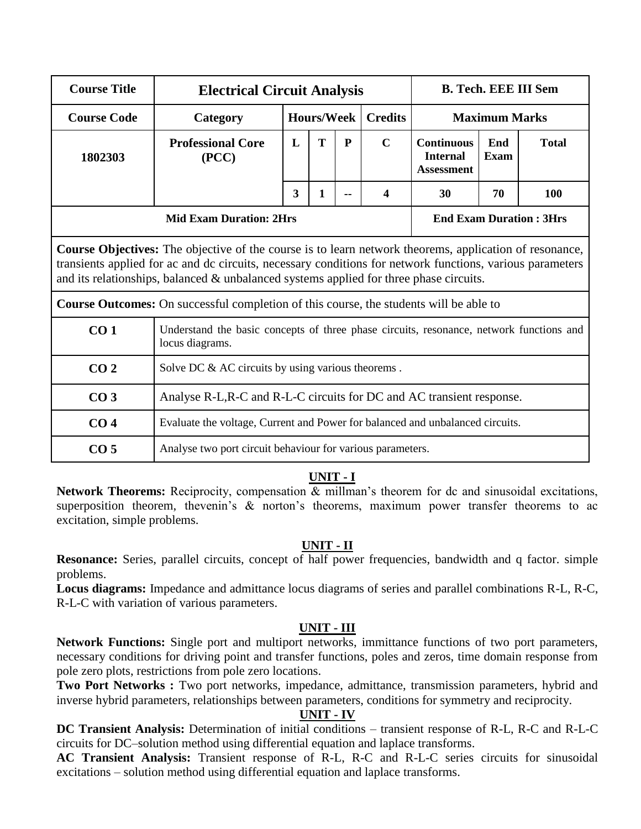| <b>Course Title</b> | <b>Electrical Circuit Analysis</b>                                                                                                                                                                                                                                                                                   |                                                                       |                   |              | <b>B. Tech. EEE III Sem</b> |                                                           |                    |              |  |  |  |
|---------------------|----------------------------------------------------------------------------------------------------------------------------------------------------------------------------------------------------------------------------------------------------------------------------------------------------------------------|-----------------------------------------------------------------------|-------------------|--------------|-----------------------------|-----------------------------------------------------------|--------------------|--------------|--|--|--|
| <b>Course Code</b>  | Category                                                                                                                                                                                                                                                                                                             |                                                                       | <b>Hours/Week</b> |              | <b>Credits</b>              | <b>Maximum Marks</b>                                      |                    |              |  |  |  |
| 1802303             | <b>Professional Core</b><br>(PCC)                                                                                                                                                                                                                                                                                    | L                                                                     | T                 | $\mathbf{P}$ | $\mathbf C$                 | <b>Continuous</b><br><b>Internal</b><br><b>Assessment</b> | End<br><b>Exam</b> | <b>Total</b> |  |  |  |
|                     | 3<br>$\mathbf{1}$<br>100<br>$\boldsymbol{4}$<br>30<br>70                                                                                                                                                                                                                                                             |                                                                       |                   |              |                             |                                                           |                    |              |  |  |  |
|                     |                                                                                                                                                                                                                                                                                                                      | <b>Mid Exam Duration: 2Hrs</b><br><b>End Exam Duration: 3Hrs</b>      |                   |              |                             |                                                           |                    |              |  |  |  |
|                     | <b>Course Objectives:</b> The objective of the course is to learn network theorems, application of resonance,<br>transients applied for ac and dc circuits, necessary conditions for network functions, various parameters<br>and its relationships, balanced & unbalanced systems applied for three phase circuits. |                                                                       |                   |              |                             |                                                           |                    |              |  |  |  |
|                     | Course Outcomes: On successful completion of this course, the students will be able to                                                                                                                                                                                                                               |                                                                       |                   |              |                             |                                                           |                    |              |  |  |  |
| CO <sub>1</sub>     | Understand the basic concepts of three phase circuits, resonance, network functions and<br>locus diagrams.                                                                                                                                                                                                           |                                                                       |                   |              |                             |                                                           |                    |              |  |  |  |
| CO <sub>2</sub>     | Solve DC & AC circuits by using various theorems.                                                                                                                                                                                                                                                                    |                                                                       |                   |              |                             |                                                           |                    |              |  |  |  |
| CO <sub>3</sub>     |                                                                                                                                                                                                                                                                                                                      | Analyse R-L, R-C and R-L-C circuits for DC and AC transient response. |                   |              |                             |                                                           |                    |              |  |  |  |
| CO <sub>4</sub>     | Evaluate the voltage, Current and Power for balanced and unbalanced circuits.                                                                                                                                                                                                                                        |                                                                       |                   |              |                             |                                                           |                    |              |  |  |  |
| CO <sub>5</sub>     | Analyse two port circuit behaviour for various parameters.                                                                                                                                                                                                                                                           |                                                                       |                   |              |                             |                                                           |                    |              |  |  |  |

**Network Theorems:** Reciprocity, compensation & millman's theorem for dc and sinusoidal excitations, superposition theorem, thevenin's  $\&$  norton's theorems, maximum power transfer theorems to ac excitation, simple problems.

# **UNIT - II**

**Resonance:** Series, parallel circuits, concept of half power frequencies, bandwidth and q factor. simple problems.

**Locus diagrams:** Impedance and admittance locus diagrams of series and parallel combinations R-L, R-C, R-L-C with variation of various parameters.

# **UNIT - III**

**Network Functions:** Single port and multiport networks, immittance functions of two port parameters, necessary conditions for driving point and transfer functions, poles and zeros, time domain response from pole zero plots, restrictions from pole zero locations.

**Two Port Networks :** Two port networks, impedance, admittance, transmission parameters, hybrid and inverse hybrid parameters, relationships between parameters, conditions for symmetry and reciprocity.

# **UNIT - IV**

**DC Transient Analysis:** Determination of initial conditions – transient response of R-L, R-C and R-L-C circuits for DC–solution method using differential equation and laplace transforms.

**AC Transient Analysis:** Transient response of R-L, R-C and R-L-C series circuits for sinusoidal excitations – solution method using differential equation and laplace transforms.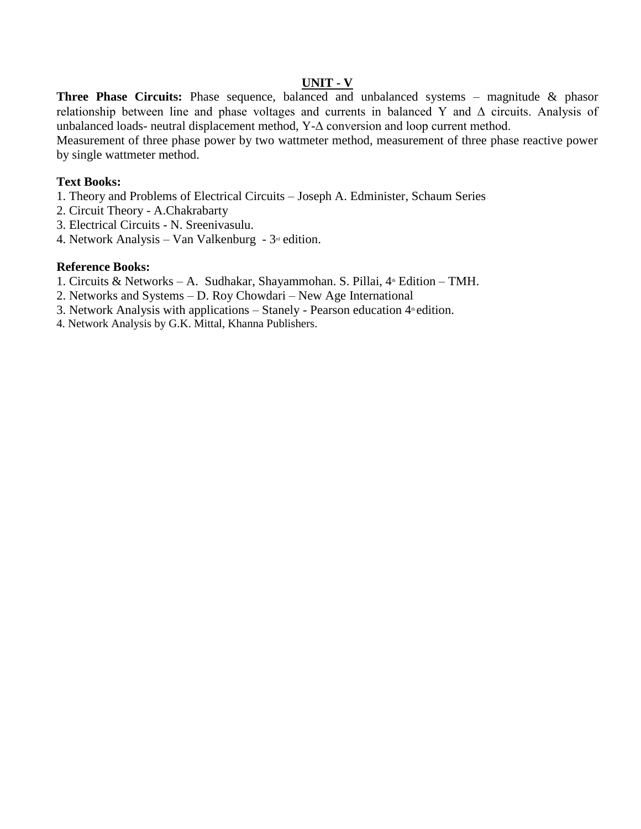#### **UNIT - V**

Three Phase Circuits: Phase sequence, balanced and unbalanced systems – magnitude & phasor relationship between line and phase voltages and currents in balanced Y and Δ circuits. Analysis of unbalanced loads- neutral displacement method, Y-Δ conversion and loop current method.

Measurement of three phase power by two wattmeter method, measurement of three phase reactive power by single wattmeter method.

#### **Text Books:**

- 1. Theory and Problems of Electrical Circuits Joseph A. Edminister, Schaum Series
- 2. Circuit Theory A.Chakrabarty
- 3. Electrical Circuits N. Sreenivasulu.
- 4. Network Analysis Van Valkenburg  $3<sup>rd</sup>$  edition.

#### **Reference Books:**

- 1. Circuits & Networks A. Sudhakar, Shayammohan. S. Pillai, 4<sup>th</sup> Edition TMH.
- 2. Networks and Systems D. Roy Chowdari New Age International
- 3. Network Analysis with applications  $-$  Stanely Pearson education  $4<sup>*</sup>$  edition.
- 4. Network Analysis by G.K. Mittal, Khanna Publishers.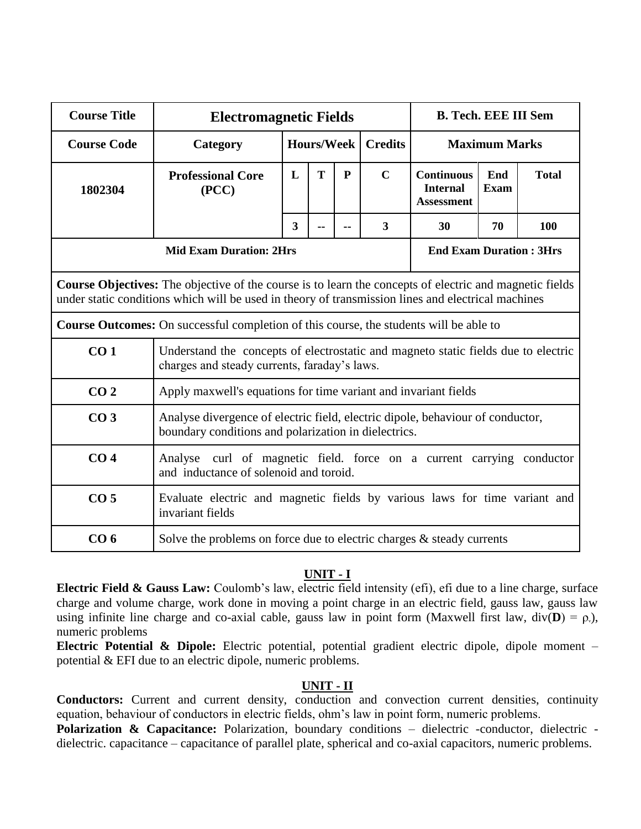| <b>Course Title</b> | <b>Electromagnetic Fields</b>                                                                                                          | <b>B. Tech. EEE III Sem</b>                                                                                                                                                                                   |                   |  |                |                                                           |                    |              |  |  |
|---------------------|----------------------------------------------------------------------------------------------------------------------------------------|---------------------------------------------------------------------------------------------------------------------------------------------------------------------------------------------------------------|-------------------|--|----------------|-----------------------------------------------------------|--------------------|--------------|--|--|
| <b>Course Code</b>  | Category                                                                                                                               |                                                                                                                                                                                                               | <b>Hours/Week</b> |  | <b>Credits</b> | <b>Maximum Marks</b>                                      |                    |              |  |  |
| 1802304             | <b>Professional Core</b><br>(PCC)                                                                                                      | $\mathbf C$<br>T<br>L<br>$\mathbf{P}$                                                                                                                                                                         |                   |  |                | <b>Continuous</b><br><b>Internal</b><br><b>Assessment</b> | End<br><b>Exam</b> | <b>Total</b> |  |  |
|                     |                                                                                                                                        | 3<br>3<br>30<br>70<br>$\overline{a}$<br>--                                                                                                                                                                    |                   |  |                |                                                           |                    |              |  |  |
|                     | <b>Mid Exam Duration: 2Hrs</b><br><b>End Exam Duration: 3Hrs</b>                                                                       |                                                                                                                                                                                                               |                   |  |                |                                                           |                    |              |  |  |
|                     |                                                                                                                                        | Course Objectives: The objective of the course is to learn the concepts of electric and magnetic fields<br>under static conditions which will be used in theory of transmission lines and electrical machines |                   |  |                |                                                           |                    |              |  |  |
|                     | <b>Course Outcomes:</b> On successful completion of this course, the students will be able to                                          |                                                                                                                                                                                                               |                   |  |                |                                                           |                    |              |  |  |
| CO <sub>1</sub>     | Understand the concepts of electrostatic and magneto static fields due to electric<br>charges and steady currents, faraday's laws.     |                                                                                                                                                                                                               |                   |  |                |                                                           |                    |              |  |  |
| CO <sub>2</sub>     | Apply maxwell's equations for time variant and invariant fields                                                                        |                                                                                                                                                                                                               |                   |  |                |                                                           |                    |              |  |  |
| CO <sub>3</sub>     | Analyse divergence of electric field, electric dipole, behaviour of conductor,<br>boundary conditions and polarization in dielectrics. |                                                                                                                                                                                                               |                   |  |                |                                                           |                    |              |  |  |
| CO <sub>4</sub>     | Analyse curl of magnetic field. force on a current carrying conductor<br>and inductance of solenoid and toroid.                        |                                                                                                                                                                                                               |                   |  |                |                                                           |                    |              |  |  |
| CO <sub>5</sub>     | Evaluate electric and magnetic fields by various laws for time variant and<br>invariant fields                                         |                                                                                                                                                                                                               |                   |  |                |                                                           |                    |              |  |  |
| CO <sub>6</sub>     | Solve the problems on force due to electric charges $\&$ steady currents                                                               |                                                                                                                                                                                                               |                   |  |                |                                                           |                    |              |  |  |

**Electric Field & Gauss Law:** Coulomb's law, electric field intensity (efi), efi due to a line charge, surface charge and volume charge, work done in moving a point charge in an electric field, gauss law, gauss law using infinite line charge and co-axial cable, gauss law in point form (Maxwell first law, div( $\mathbf{D}$ ) =  $\rho$ ), numeric problems

**Electric Potential & Dipole:** Electric potential, potential gradient electric dipole, dipole moment – potential & EFI due to an electric dipole, numeric problems.

#### **UNIT - II**

**Conductors:** Current and current density, conduction and convection current densities, continuity equation, behaviour of conductors in electric fields, ohm's law in point form, numeric problems.

Polarization & Capacitance: Polarization, boundary conditions – dielectric -conductor, dielectric dielectric. capacitance – capacitance of parallel plate, spherical and co-axial capacitors, numeric problems.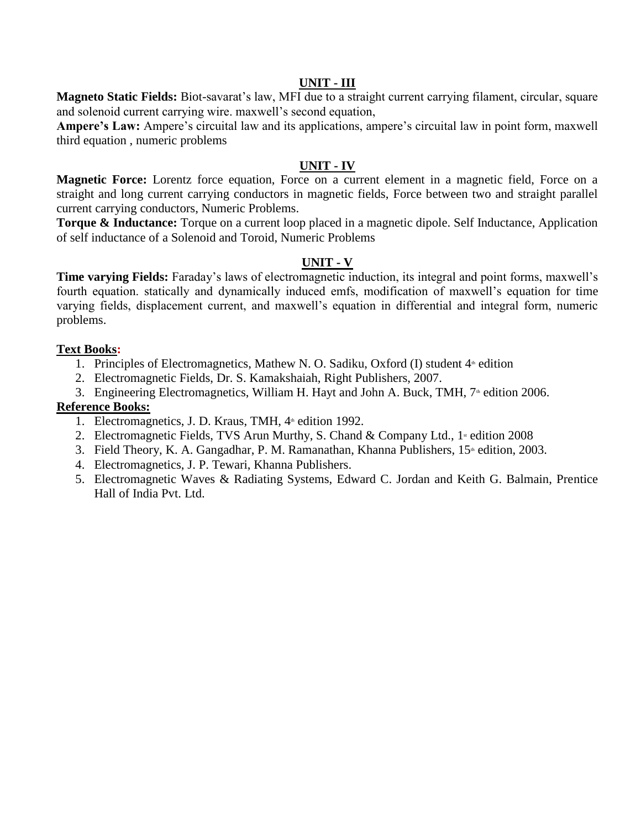#### **UNIT - III**

**Magneto Static Fields:** Biot-savarat's law, MFI due to a straight current carrying filament, circular, square and solenoid current carrying wire. maxwell's second equation,

**Ampere's Law:** Ampere's circuital law and its applications, ampere's circuital law in point form, maxwell third equation , numeric problems

#### **UNIT - IV**

**Magnetic Force:** Lorentz force equation, Force on a current element in a magnetic field, Force on a straight and long current carrying conductors in magnetic fields, Force between two and straight parallel current carrying conductors, Numeric Problems.

**Torque & Inductance:** Torque on a current loop placed in a magnetic dipole. Self Inductance, Application of self inductance of a Solenoid and Toroid, Numeric Problems

#### **UNIT - V**

**Time varying Fields:** Faraday's laws of electromagnetic induction, its integral and point forms, maxwell's fourth equation. statically and dynamically induced emfs, modification of maxwell's equation for time varying fields, displacement current, and maxwell's equation in differential and integral form, numeric problems.

#### **Text Books:**

1. Principles of Electromagnetics, Mathew N. O. Sadiku, Oxford (I) student  $4<sup>th</sup>$  edition

- 2. Electromagnetic Fields, Dr. S. Kamakshaiah, Right Publishers, 2007.
- 3. Engineering Electromagnetics, William H. Hayt and John A. Buck, TMH, 7<sup>th</sup> edition 2006.

#### **Reference Books:**

- 1. Electromagnetics, J. D. Kraus, TMH, 4<sup>th</sup> edition 1992.
- 2. Electromagnetic Fields, TVS Arun Murthy, S. Chand & Company Ltd.,  $1$ <sup>\*</sup> edition 2008
- 3. Field Theory, K. A. Gangadhar, P. M. Ramanathan, Khanna Publishers, 15<sup>th</sup> edition, 2003.
- 4. Electromagnetics, J. P. Tewari, Khanna Publishers.
- 5. Electromagnetic Waves & Radiating Systems, Edward C. Jordan and Keith G. Balmain, Prentice Hall of India Pvt. Ltd.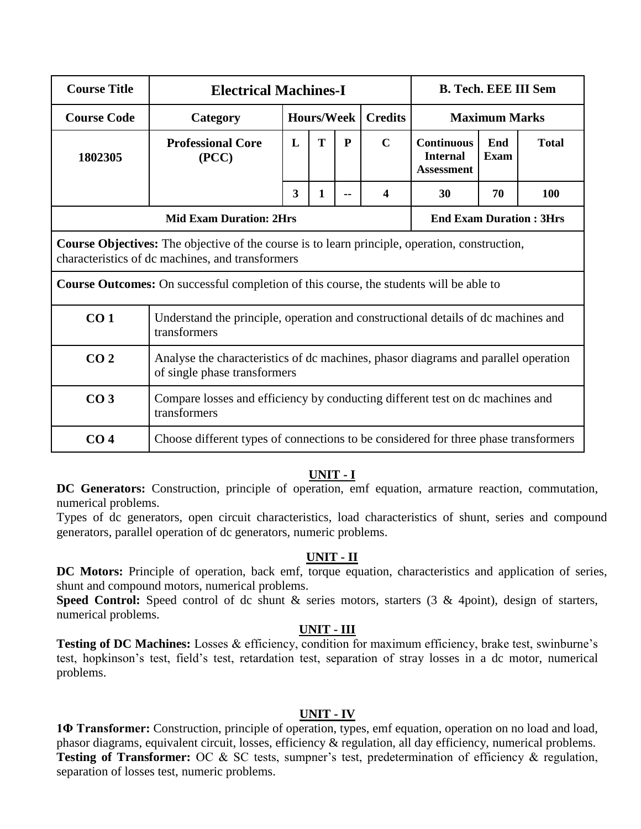| <b>Course Title</b> | <b>Electrical Machines-I</b>                                                                                                                              |                                                                               | <b>B. Tech. EEE III Sem</b> |   |                |                                                           |                      |              |  |  |
|---------------------|-----------------------------------------------------------------------------------------------------------------------------------------------------------|-------------------------------------------------------------------------------|-----------------------------|---|----------------|-----------------------------------------------------------|----------------------|--------------|--|--|
| <b>Course Code</b>  | Category                                                                                                                                                  |                                                                               | <b>Hours/Week</b>           |   | <b>Credits</b> |                                                           | <b>Maximum Marks</b> |              |  |  |
| 1802305             | <b>Professional Core</b><br>(PCC)                                                                                                                         | L                                                                             | T                           | P | $\mathbf C$    | <b>Continuous</b><br><b>Internal</b><br><b>Assessment</b> | End<br><b>Exam</b>   | <b>Total</b> |  |  |
|                     | 3<br>30<br>70<br>100<br>1<br>4                                                                                                                            |                                                                               |                             |   |                |                                                           |                      |              |  |  |
|                     |                                                                                                                                                           | <b>Mid Exam Duration: 2Hrs</b><br><b>End Exam Duration: 3Hrs</b>              |                             |   |                |                                                           |                      |              |  |  |
|                     | <b>Course Objectives:</b> The objective of the course is to learn principle, operation, construction,<br>characteristics of dc machines, and transformers |                                                                               |                             |   |                |                                                           |                      |              |  |  |
|                     | <b>Course Outcomes:</b> On successful completion of this course, the students will be able to                                                             |                                                                               |                             |   |                |                                                           |                      |              |  |  |
| CO <sub>1</sub>     | Understand the principle, operation and constructional details of dc machines and<br>transformers                                                         |                                                                               |                             |   |                |                                                           |                      |              |  |  |
| CO <sub>2</sub>     | Analyse the characteristics of dc machines, phasor diagrams and parallel operation<br>of single phase transformers                                        |                                                                               |                             |   |                |                                                           |                      |              |  |  |
| CO <sub>3</sub>     | transformers                                                                                                                                              | Compare losses and efficiency by conducting different test on dc machines and |                             |   |                |                                                           |                      |              |  |  |
| CO <sub>4</sub>     | Choose different types of connections to be considered for three phase transformers                                                                       |                                                                               |                             |   |                |                                                           |                      |              |  |  |

**DC Generators:** Construction, principle of operation, emf equation, armature reaction, commutation, numerical problems.

Types of dc generators, open circuit characteristics, load characteristics of shunt, series and compound generators, parallel operation of dc generators, numeric problems.

#### **UNIT - II**

**DC Motors:** Principle of operation, back emf, torque equation, characteristics and application of series, shunt and compound motors, numerical problems.

Speed Control: Speed control of dc shunt & series motors, starters (3 & 4point), design of starters, numerical problems.

# **UNIT - III**

Testing of DC Machines: Losses & efficiency, condition for maximum efficiency, brake test, swinburne's test, hopkinson's test, field's test, retardation test, separation of stray losses in a dc motor, numerical problems.

# **UNIT - IV**

**1Φ Transformer:** Construction, principle of operation, types, emf equation, operation on no load and load, phasor diagrams, equivalent circuit, losses, efficiency & regulation, all day efficiency, numerical problems. **Testing of Transformer:** OC & SC tests, sumpner's test, predetermination of efficiency & regulation, separation of losses test, numeric problems.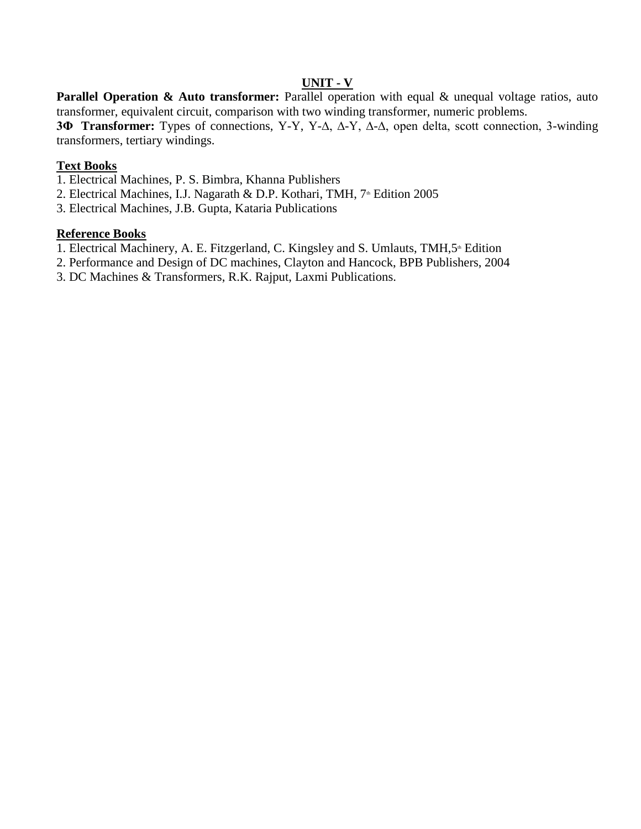# **UNIT - V**

**Parallel Operation & Auto transformer:** Parallel operation with equal & unequal voltage ratios, auto transformer, equivalent circuit, comparison with two winding transformer, numeric problems.

**3Φ Transformer:** Types of connections, Y-Y, Y-∆, ∆-Y, ∆-∆, open delta, scott connection, 3-winding transformers, tertiary windings.

### **Text Books**

- 1. Electrical Machines, P. S. Bimbra, Khanna Publishers
- 2. Electrical Machines, I.J. Nagarath & D.P. Kothari, TMH, 7<sup>th</sup> Edition 2005
- 3. Electrical Machines, J.B. Gupta, Kataria Publications

#### **Reference Books**

- 1. Electrical Machinery, A. E. Fitzgerland, C. Kingsley and S. Umlauts, TMH,5<sup>th</sup> Edition
- 2. Performance and Design of DC machines, Clayton and Hancock, BPB Publishers, 2004
- 3. DC Machines & Transformers, R.K. Rajput, Laxmi Publications.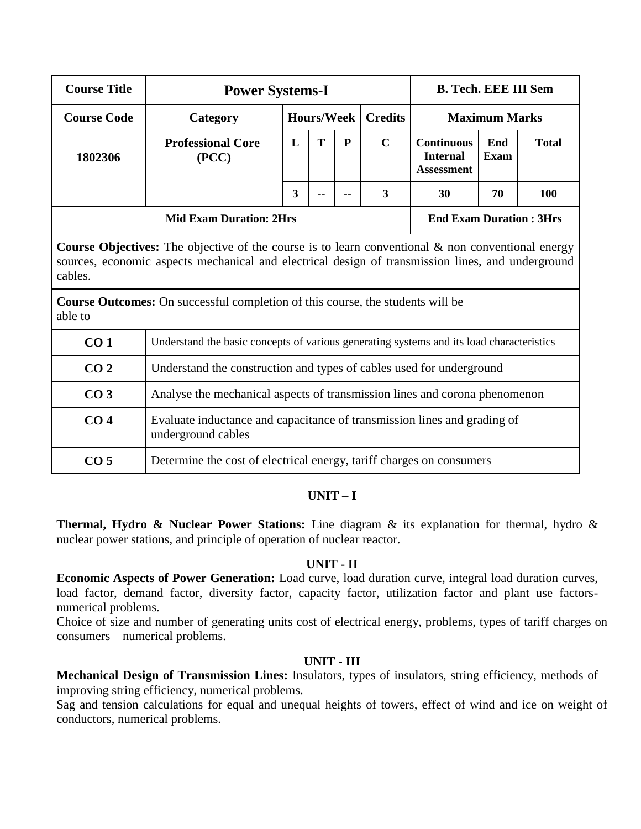| <b>Course Title</b> | <b>Power Systems-I</b>                                                                                                                                                                                           |                                                                            |   | <b>B. Tech. EEE III Sem</b> |             |                                                           |             |              |  |  |  |
|---------------------|------------------------------------------------------------------------------------------------------------------------------------------------------------------------------------------------------------------|----------------------------------------------------------------------------|---|-----------------------------|-------------|-----------------------------------------------------------|-------------|--------------|--|--|--|
| <b>Course Code</b>  | Category                                                                                                                                                                                                         | <b>Hours/Week</b><br><b>Credits</b><br><b>Maximum Marks</b>                |   |                             |             |                                                           |             |              |  |  |  |
| 1802306             | <b>Professional Core</b><br>(PCC)                                                                                                                                                                                | L                                                                          | T | ${\bf P}$                   | $\mathbf C$ | <b>Continuous</b><br><b>Internal</b><br><b>Assessment</b> | End<br>Exam | <b>Total</b> |  |  |  |
|                     | 3<br>3<br>70<br>100<br>30                                                                                                                                                                                        |                                                                            |   |                             |             |                                                           |             |              |  |  |  |
|                     |                                                                                                                                                                                                                  | <b>Mid Exam Duration: 2Hrs</b><br><b>End Exam Duration: 3Hrs</b>           |   |                             |             |                                                           |             |              |  |  |  |
| cables.             | <b>Course Objectives:</b> The objective of the course is to learn conventional $\&$ non conventional energy<br>sources, economic aspects mechanical and electrical design of transmission lines, and underground |                                                                            |   |                             |             |                                                           |             |              |  |  |  |
| able to             | <b>Course Outcomes:</b> On successful completion of this course, the students will be                                                                                                                            |                                                                            |   |                             |             |                                                           |             |              |  |  |  |
| CO <sub>1</sub>     | Understand the basic concepts of various generating systems and its load characteristics                                                                                                                         |                                                                            |   |                             |             |                                                           |             |              |  |  |  |
| CO <sub>2</sub>     |                                                                                                                                                                                                                  | Understand the construction and types of cables used for underground       |   |                             |             |                                                           |             |              |  |  |  |
| CO <sub>3</sub>     |                                                                                                                                                                                                                  | Analyse the mechanical aspects of transmission lines and corona phenomenon |   |                             |             |                                                           |             |              |  |  |  |
| CO <sub>4</sub>     | Evaluate inductance and capacitance of transmission lines and grading of<br>underground cables                                                                                                                   |                                                                            |   |                             |             |                                                           |             |              |  |  |  |

#### **UNIT – I**

**CO 5** Determine the cost of electrical energy, tariff charges on consumers

**Thermal, Hydro & Nuclear Power Stations:** Line diagram & its explanation for thermal, hydro & nuclear power stations, and principle of operation of nuclear reactor.

#### **UNIT - II**

**Economic Aspects of Power Generation:** Load curve, load duration curve, integral load duration curves, load factor, demand factor, diversity factor, capacity factor, utilization factor and plant use factorsnumerical problems.

Choice of size and number of generating units cost of electrical energy, problems, types of tariff charges on consumers – numerical problems.

#### **UNIT - III**

**Mechanical Design of Transmission Lines:** Insulators, types of insulators, string efficiency, methods of improving string efficiency, numerical problems.

Sag and tension calculations for equal and unequal heights of towers, effect of wind and ice on weight of conductors, numerical problems.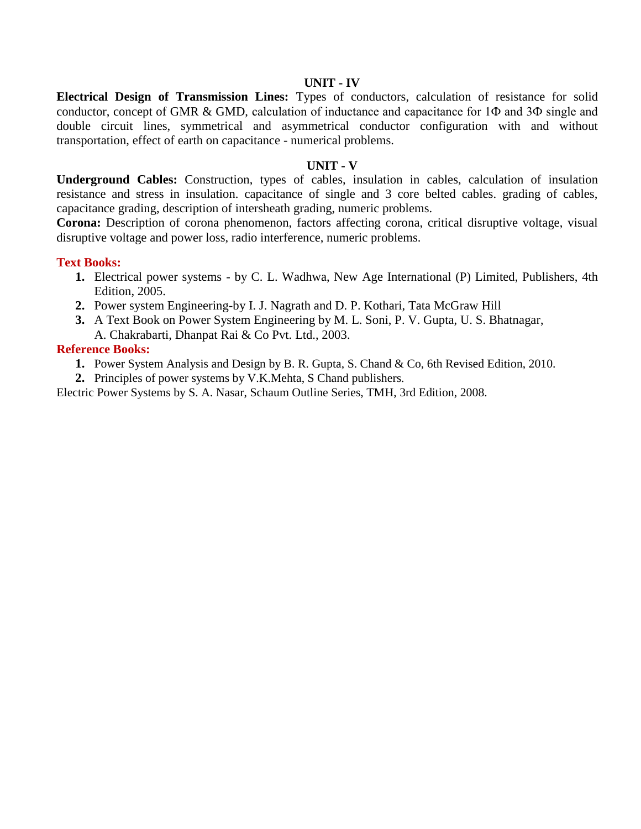**Electrical Design of Transmission Lines:** Types of conductors, calculation of resistance for solid conductor, concept of GMR & GMD, calculation of inductance and capacitance for 1Ф and 3Ф single and double circuit lines, symmetrical and asymmetrical conductor configuration with and without transportation, effect of earth on capacitance - numerical problems.

#### **UNIT - V**

**Underground Cables:** Construction, types of cables, insulation in cables, calculation of insulation resistance and stress in insulation. capacitance of single and 3 core belted cables. grading of cables, capacitance grading, description of intersheath grading, numeric problems.

**Corona:** Description of corona phenomenon, factors affecting corona, critical disruptive voltage, visual disruptive voltage and power loss, radio interference, numeric problems.

#### **Text Books:**

- **1.** Electrical power systems by C. L. Wadhwa, New Age International (P) Limited, Publishers, 4th Edition, 2005.
- **2.** Power system Engineering-by I. J. Nagrath and D. P. Kothari, Tata McGraw Hill
- **3.** A Text Book on Power System Engineering by M. L. Soni, P. V. Gupta, U. S. Bhatnagar, A. Chakrabarti, Dhanpat Rai & Co Pvt. Ltd., 2003.

#### **Reference Books:**

**1.** Power System Analysis and Design by B. R. Gupta, S. Chand & Co, 6th Revised Edition, 2010.

**2.** Principles of power systems by V.K.Mehta, S Chand publishers.

Electric Power Systems by S. A. Nasar, Schaum Outline Series, TMH, 3rd Edition, 2008.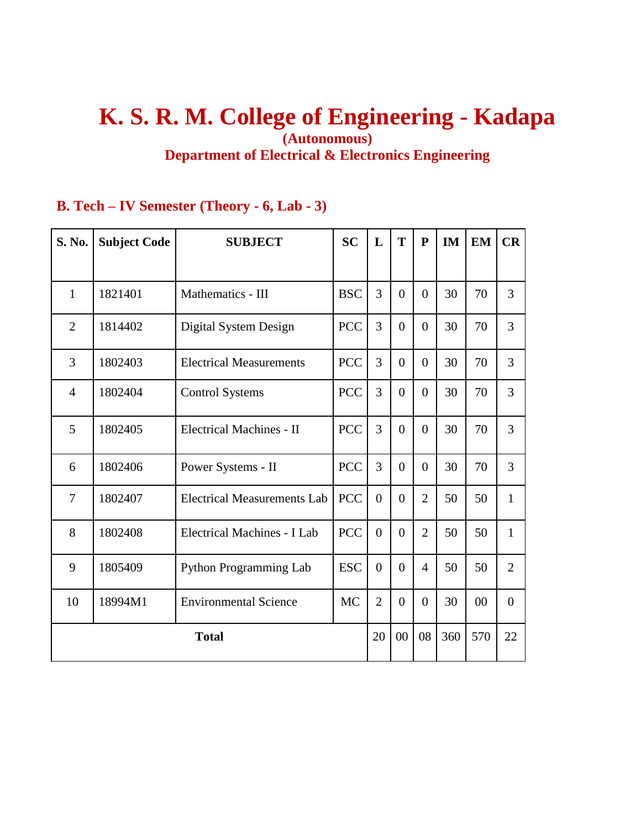# **K. S. R. M. College of Engineering - Kadapa (Autonomous) Department of Electrical & Electronics Engineering**

# **B. Tech – IV Semester (Theory - 6, Lab - 3)**

| S. No.         | <b>Subject Code</b> | <b>SUBJECT</b>                     | <b>SC</b>  | L              | T              | ${\bf P}$      | <b>IM</b> | <b>EM</b> | CR             |
|----------------|---------------------|------------------------------------|------------|----------------|----------------|----------------|-----------|-----------|----------------|
|                |                     |                                    |            |                |                |                |           |           |                |
| 1              | 1821401             | Mathematics - III                  | <b>BSC</b> | 3              | $\Omega$       | $\Omega$       | 30        | 70        | 3              |
| $\overline{2}$ | 1814402             | Digital System Design              | <b>PCC</b> | $\overline{3}$ | $\Omega$       | $\Omega$       | 30        | 70        | 3              |
| 3              | 1802403             | <b>Electrical Measurements</b>     | <b>PCC</b> | $\overline{3}$ | $\overline{0}$ | $\Omega$       | 30        | 70        | 3              |
| $\overline{4}$ | 1802404             | <b>Control Systems</b>             | <b>PCC</b> | $\overline{3}$ | $\Omega$       | $\Omega$       | 30        | 70        | 3              |
| 5              | 1802405             | <b>Electrical Machines - II</b>    | <b>PCC</b> | 3              | $\overline{0}$ | $\Omega$       | 30        | 70        | 3              |
| 6              | 1802406             | Power Systems - II                 | <b>PCC</b> | 3              | $\Omega$       | $\Omega$       | 30        | 70        | 3              |
| $\overline{7}$ | 1802407             | <b>Electrical Measurements Lab</b> | <b>PCC</b> | $\overline{0}$ | $\Omega$       | $\overline{2}$ | 50        | 50        | $\mathbf{1}$   |
| 8              | 1802408             | Electrical Machines - I Lab        | <b>PCC</b> | $\overline{0}$ | $\overline{0}$ | $\overline{2}$ | 50        | 50        | $\mathbf{1}$   |
| 9              | 1805409             | <b>Python Programming Lab</b>      | <b>ESC</b> | $\overline{0}$ | $\overline{0}$ | $\overline{4}$ | 50        | 50        | $\overline{2}$ |
| 10             | 18994M1             | <b>Environmental Science</b>       | <b>MC</b>  | $\overline{2}$ | $\Omega$       | $\Omega$       | 30        | 00        | $\overline{0}$ |
|                |                     | <b>Total</b>                       |            | 20             | 00             | 08             | 360       | 570       | 22             |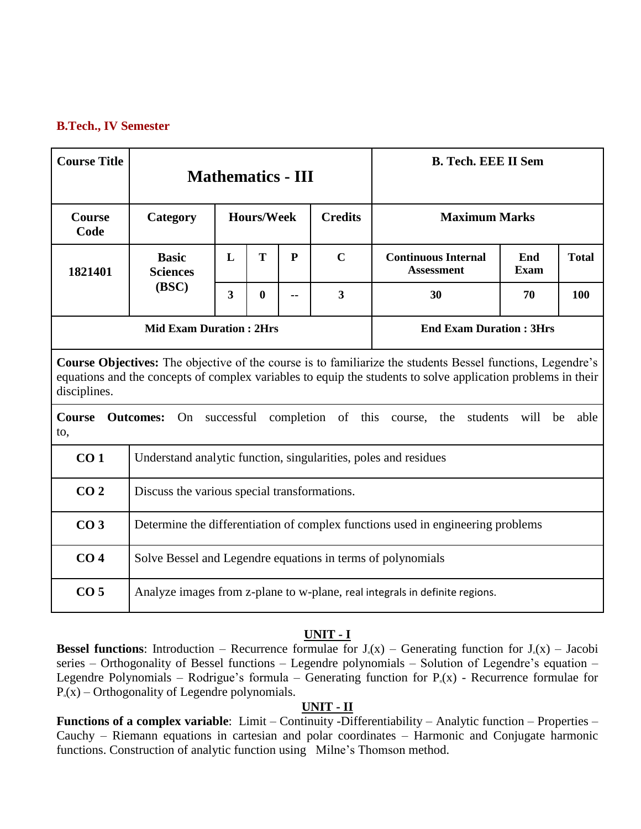# **B.Tech., IV Semester**

| <b>Course Title</b>   |                                                                 |                                                                                 |                                                                                                                                                                                                                                   | <b>Mathematics - III</b> |                         | <b>B. Tech. EEE II Sem</b>                                                  |      |              |  |  |  |
|-----------------------|-----------------------------------------------------------------|---------------------------------------------------------------------------------|-----------------------------------------------------------------------------------------------------------------------------------------------------------------------------------------------------------------------------------|--------------------------|-------------------------|-----------------------------------------------------------------------------|------|--------------|--|--|--|
| <b>Course</b><br>Code | Category                                                        |                                                                                 | <b>Hours/Week</b>                                                                                                                                                                                                                 |                          | <b>Credits</b>          | <b>Maximum Marks</b>                                                        |      |              |  |  |  |
| 1821401               | <b>Basic</b><br><b>Sciences</b>                                 | L                                                                               | T                                                                                                                                                                                                                                 | $\mathbf{P}$             | $\mathbf C$             | <b>Continuous Internal</b><br>End<br><b>Assessment</b><br><b>Exam</b>       |      | <b>Total</b> |  |  |  |
|                       | (BSC)                                                           | 3                                                                               | $\bf{0}$                                                                                                                                                                                                                          |                          | $\overline{\mathbf{3}}$ | 30                                                                          | 70   | 100          |  |  |  |
|                       | <b>Mid Exam Duration: 2Hrs</b>                                  |                                                                                 |                                                                                                                                                                                                                                   |                          |                         | <b>End Exam Duration: 3Hrs</b>                                              |      |              |  |  |  |
| disciplines.          |                                                                 |                                                                                 | <b>Course Objectives:</b> The objective of the course is to familiarize the students Bessel functions, Legendre's<br>equations and the concepts of complex variables to equip the students to solve application problems in their |                          |                         |                                                                             |      |              |  |  |  |
| <b>Course</b><br>to,  | On<br><b>Outcomes:</b>                                          |                                                                                 |                                                                                                                                                                                                                                   |                          |                         | successful completion of this course, the students                          | will | able<br>be   |  |  |  |
| CO <sub>1</sub>       | Understand analytic function, singularities, poles and residues |                                                                                 |                                                                                                                                                                                                                                   |                          |                         |                                                                             |      |              |  |  |  |
| CO <sub>2</sub>       | Discuss the various special transformations.                    |                                                                                 |                                                                                                                                                                                                                                   |                          |                         |                                                                             |      |              |  |  |  |
| CO <sub>3</sub>       |                                                                 | Determine the differentiation of complex functions used in engineering problems |                                                                                                                                                                                                                                   |                          |                         |                                                                             |      |              |  |  |  |
| CO <sub>4</sub>       |                                                                 | Solve Bessel and Legendre equations in terms of polynomials                     |                                                                                                                                                                                                                                   |                          |                         |                                                                             |      |              |  |  |  |
| CO <sub>5</sub>       |                                                                 |                                                                                 |                                                                                                                                                                                                                                   |                          |                         | Analyze images from z-plane to w-plane, real integrals in definite regions. |      |              |  |  |  |

# **UNIT - I**

**Bessel functions:** Introduction – Recurrence formulae for  $J_n(x)$  – Generating function for  $J_n(x)$  – Jacobi series – Orthogonality of Bessel functions – Legendre polynomials – Solution of Legendre's equation – Legendre Polynomials – Rodrigue's formula – Generating function for  $P_n(x)$  - Recurrence formulae for  $P_n(x)$  – Orthogonality of Legendre polynomials.

#### **UNIT - II**

**Functions of a complex variable**: Limit – Continuity -Differentiability – Analytic function – Properties – Cauchy – Riemann equations in cartesian and polar coordinates – Harmonic and Conjugate harmonic functions. Construction of analytic function using Milne's Thomson method.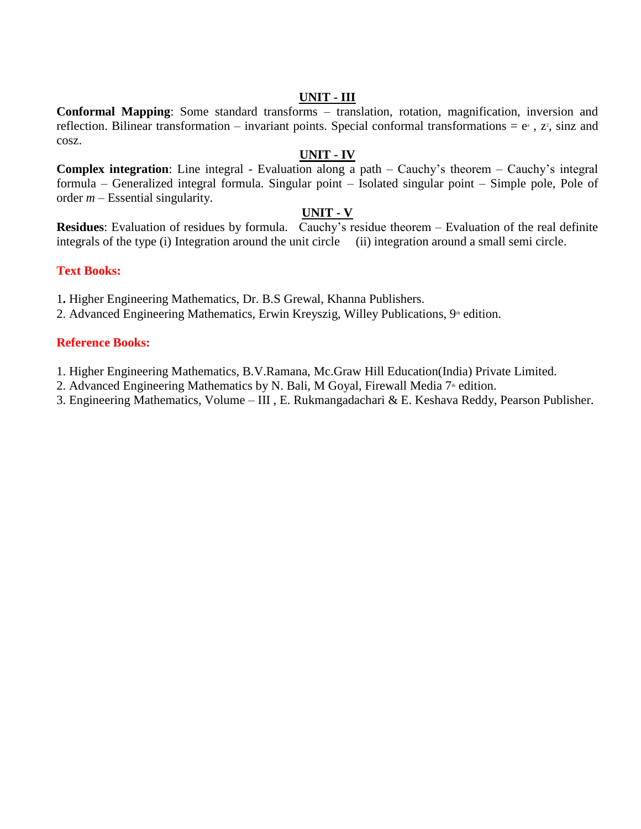#### **UNIT - III**

**Conformal Mapping**: Some standard transforms – translation, rotation, magnification, inversion and reflection. Bilinear transformation – invariant points. Special conformal transformations =  $e^z$ ,  $z^2$ , sinz and cosz.

# **UNIT - IV**

**Complex integration**: Line integral - Evaluation along a path – Cauchy's theorem – Cauchy's integral formula – Generalized integral formula. Singular point – Isolated singular point – Simple pole, Pole of order *m* – Essential singularity.

# **UNIT - V**

**Residues**: Evaluation of residues by formula. Cauchy's residue theorem – Evaluation of the real definite integrals of the type (i) Integration around the unit circle (ii) integration around a small semi circle.

# **Text Books:**

1**.** Higher Engineering Mathematics, Dr. B.S Grewal, Khanna Publishers.

2. Advanced Engineering Mathematics, Erwin Kreyszig, Willey Publications,  $9^{\omega}$  edition.

# **Reference Books:**

1. Higher Engineering Mathematics, B.V.Ramana, Mc.Graw Hill Education(India) Private Limited.

2. Advanced Engineering Mathematics by N. Bali, M Goyal, Firewall Media  $7<sup>th</sup>$  edition.

3. Engineering Mathematics, Volume – III , E. Rukmangadachari & E. Keshava Reddy, Pearson Publisher.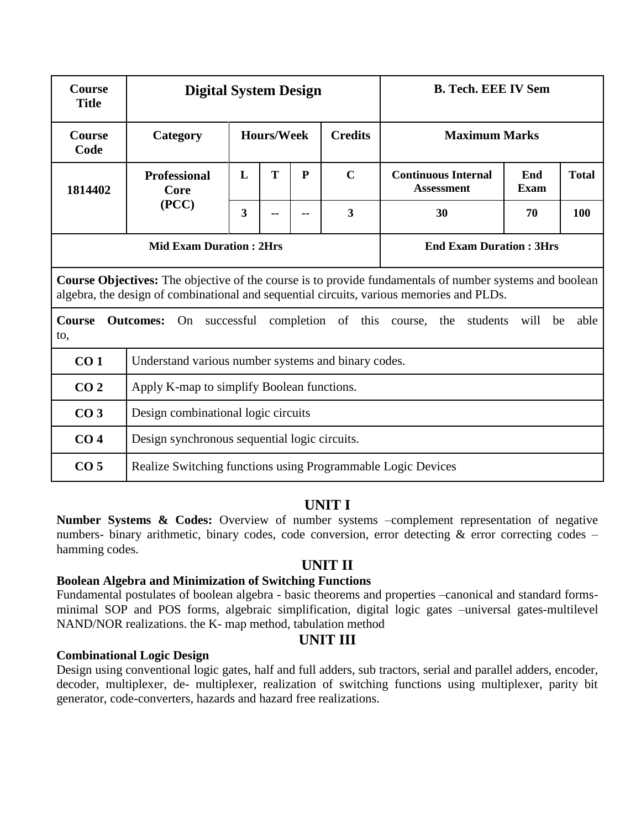| <b>Course</b><br><b>Title</b> | <b>Digital System Design</b>                                 |                                                                                              |                   |    | <b>B. Tech. EEE IV Sem</b> |                                                                                                                                                                                                     |            |      |  |  |
|-------------------------------|--------------------------------------------------------------|----------------------------------------------------------------------------------------------|-------------------|----|----------------------------|-----------------------------------------------------------------------------------------------------------------------------------------------------------------------------------------------------|------------|------|--|--|
| <b>Course</b><br>Code         | Category                                                     |                                                                                              | <b>Hours/Week</b> |    | <b>Credits</b>             | <b>Maximum Marks</b>                                                                                                                                                                                |            |      |  |  |
| 1814402                       | <b>Professional</b><br>Core                                  | T<br>$\mathbf C$<br>L<br>P<br><b>Continuous Internal</b><br>End<br><b>Assessment</b><br>Exam |                   |    |                            |                                                                                                                                                                                                     |            |      |  |  |
|                               | (PCC)                                                        | $\overline{\mathbf{3}}$                                                                      |                   | ۰. | 30                         | 70                                                                                                                                                                                                  | 100        |      |  |  |
|                               | <b>Mid Exam Duration: 2Hrs</b>                               |                                                                                              |                   |    |                            | <b>End Exam Duration: 3Hrs</b>                                                                                                                                                                      |            |      |  |  |
|                               |                                                              |                                                                                              |                   |    |                            | Course Objectives: The objective of the course is to provide fundamentals of number systems and boolean<br>algebra, the design of combinational and sequential circuits, various memories and PLDs. |            |      |  |  |
| <b>Course</b><br>to,          |                                                              |                                                                                              |                   |    |                            | <b>Outcomes:</b> On successful completion of this course, the students                                                                                                                              | will<br>be | able |  |  |
| CO <sub>1</sub>               | Understand various number systems and binary codes.          |                                                                                              |                   |    |                            |                                                                                                                                                                                                     |            |      |  |  |
| CO <sub>2</sub>               | Apply K-map to simplify Boolean functions.                   |                                                                                              |                   |    |                            |                                                                                                                                                                                                     |            |      |  |  |
| CO <sub>3</sub>               |                                                              | Design combinational logic circuits                                                          |                   |    |                            |                                                                                                                                                                                                     |            |      |  |  |
| CO <sub>4</sub>               | Design synchronous sequential logic circuits.                |                                                                                              |                   |    |                            |                                                                                                                                                                                                     |            |      |  |  |
| CO <sub>5</sub>               | Realize Switching functions using Programmable Logic Devices |                                                                                              |                   |    |                            |                                                                                                                                                                                                     |            |      |  |  |

# **UNIT I**

**Number Systems & Codes:** Overview of number systems –complement representation of negative numbers- binary arithmetic, binary codes, code conversion, error detecting & error correcting codes – hamming codes.

# **UNIT II**

#### **Boolean Algebra and Minimization of Switching Functions**

Fundamental postulates of boolean algebra - basic theorems and properties –canonical and standard formsminimal SOP and POS forms, algebraic simplification, digital logic gates –universal gates-multilevel NAND/NOR realizations. the K- map method, tabulation method

# **UNIT III**

#### **Combinational Logic Design**

Design using conventional logic gates, half and full adders, sub tractors, serial and parallel adders, encoder, decoder, multiplexer, de- multiplexer, realization of switching functions using multiplexer, parity bit generator, code-converters, hazards and hazard free realizations.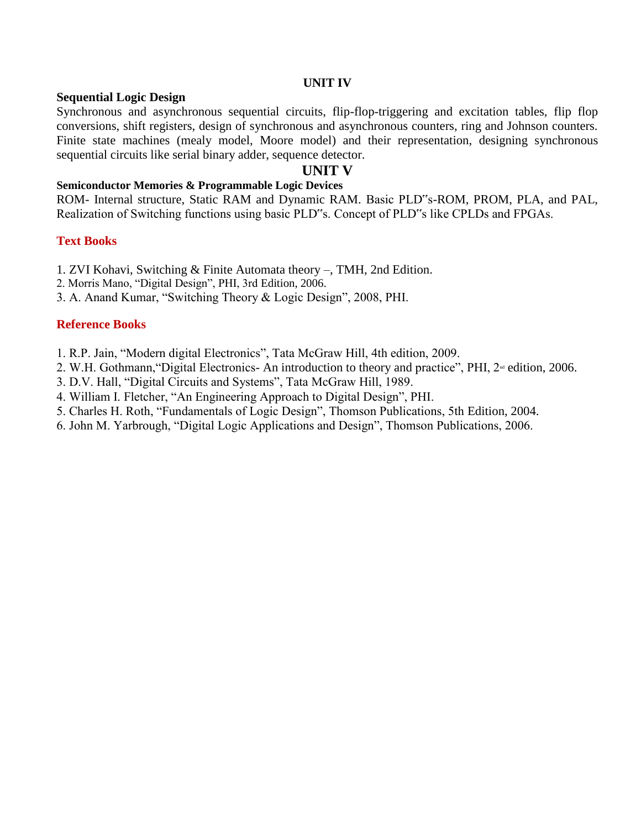#### **UNIT IV**

#### **Sequential Logic Design**

Synchronous and asynchronous sequential circuits, flip-flop-triggering and excitation tables, flip flop conversions, shift registers, design of synchronous and asynchronous counters, ring and Johnson counters. Finite state machines (mealy model, Moore model) and their representation, designing synchronous sequential circuits like serial binary adder, sequence detector.

### **UNIT V**

#### **Semiconductor Memories & Programmable Logic Devices**

ROM- Internal structure, Static RAM and Dynamic RAM. Basic PLD"s-ROM, PROM, PLA, and PAL, Realization of Switching functions using basic PLD"s. Concept of PLD"s like CPLDs and FPGAs.

#### **Text Books**

- 1. ZVI Kohavi, Switching & Finite Automata theory –, TMH, 2nd Edition.
- 2. Morris Mano, "Digital Design", PHI, 3rd Edition, 2006.
- 3. A. Anand Kumar, "Switching Theory & Logic Design", 2008, PHI.

#### **Reference Books**

- 1. R.P. Jain, "Modern digital Electronics", Tata McGraw Hill, 4th edition, 2009.
- 2. W.H. Gothmann, "Digital Electronics- An introduction to theory and practice", PHI, 2<sup>nd</sup> edition, 2006.
- 3. D.V. Hall, "Digital Circuits and Systems", Tata McGraw Hill, 1989.
- 4. William I. Fletcher, "An Engineering Approach to Digital Design", PHI.
- 5. Charles H. Roth, "Fundamentals of Logic Design", Thomson Publications, 5th Edition, 2004.
- 6. John M. Yarbrough, "Digital Logic Applications and Design", Thomson Publications, 2006.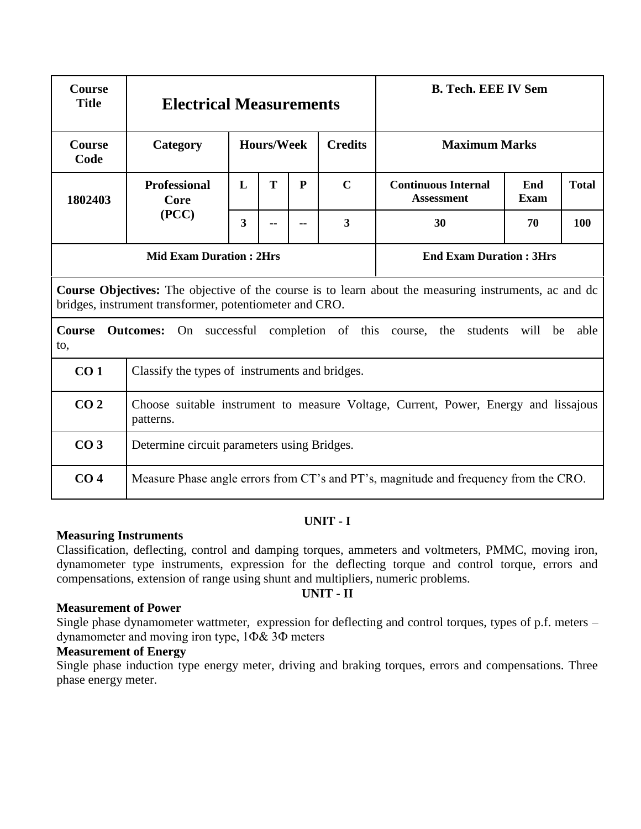| <b>Course</b><br><b>Title</b> | <b>Electrical Measurements</b>                          |                                                                                     |                   |                                |                                     | <b>B. Tech. EEE IV Sem</b>                                                                                   |            |      |  |  |  |  |
|-------------------------------|---------------------------------------------------------|-------------------------------------------------------------------------------------|-------------------|--------------------------------|-------------------------------------|--------------------------------------------------------------------------------------------------------------|------------|------|--|--|--|--|
| <b>Course</b><br>Code         | Category                                                |                                                                                     | <b>Hours/Week</b> |                                | <b>Credits</b>                      | <b>Maximum Marks</b>                                                                                         |            |      |  |  |  |  |
| 1802403                       | <b>Professional</b><br>Core                             | L                                                                                   | T                 | P                              | $\mathbf C$                         | <b>Continuous Internal</b><br>End<br><b>Total</b><br><b>Assessment</b><br><b>Exam</b>                        |            |      |  |  |  |  |
|                               | (PCC)                                                   | 3                                                                                   |                   |                                | $\overline{\mathbf{3}}$<br>30<br>70 |                                                                                                              |            |      |  |  |  |  |
|                               | <b>Mid Exam Duration: 2Hrs</b>                          |                                                                                     |                   | <b>End Exam Duration: 3Hrs</b> |                                     |                                                                                                              |            |      |  |  |  |  |
|                               | bridges, instrument transformer, potentiometer and CRO. |                                                                                     |                   |                                |                                     | <b>Course Objectives:</b> The objective of the course is to learn about the measuring instruments, ac and dc |            |      |  |  |  |  |
| <b>Course</b><br>to,          |                                                         |                                                                                     |                   |                                |                                     | <b>Outcomes:</b> On successful completion of this course, the students                                       | will<br>be | able |  |  |  |  |
| CO <sub>1</sub>               | Classify the types of instruments and bridges.          |                                                                                     |                   |                                |                                     |                                                                                                              |            |      |  |  |  |  |
| CO <sub>2</sub>               | patterns.                                               | Choose suitable instrument to measure Voltage, Current, Power, Energy and lissajous |                   |                                |                                     |                                                                                                              |            |      |  |  |  |  |
| CO <sub>3</sub>               | Determine circuit parameters using Bridges.             |                                                                                     |                   |                                |                                     |                                                                                                              |            |      |  |  |  |  |
| CO <sub>4</sub>               |                                                         |                                                                                     |                   |                                |                                     | Measure Phase angle errors from CT's and PT's, magnitude and frequency from the CRO.                         |            |      |  |  |  |  |

#### **Measuring Instruments**

Classification, deflecting, control and damping torques, ammeters and voltmeters, PMMC, moving iron, dynamometer type instruments, expression for the deflecting torque and control torque, errors and compensations, extension of range using shunt and multipliers, numeric problems.

# **UNIT - II**

#### **Measurement of Power**

Single phase dynamometer wattmeter, expression for deflecting and control torques, types of p.f. meters – dynamometer and moving iron type, 1Ф& 3Ф meters

# **Measurement of Energy**

Single phase induction type energy meter, driving and braking torques, errors and compensations. Three phase energy meter.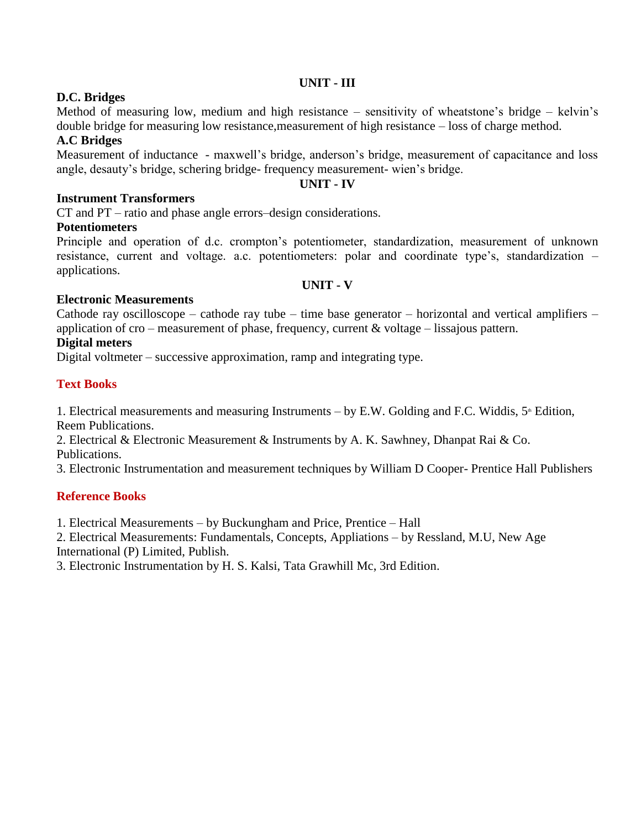# **UNIT - III**

# **D.C. Bridges**

Method of measuring low, medium and high resistance – sensitivity of wheatstone's bridge – kelvin's double bridge for measuring low resistance,measurement of high resistance – loss of charge method.

# **A.C Bridges**

Measurement of inductance - maxwell's bridge, anderson's bridge, measurement of capacitance and loss angle, desauty's bridge, schering bridge- frequency measurement- wien's bridge.

### **UNIT - IV**

# **Instrument Transformers**

CT and PT – ratio and phase angle errors–design considerations.

# **Potentiometers**

Principle and operation of d.c. crompton's potentiometer, standardization, measurement of unknown resistance, current and voltage. a.c. potentiometers: polar and coordinate type's, standardization – applications.

#### **UNIT - V**

# **Electronic Measurements**

Cathode ray oscilloscope – cathode ray tube – time base generator – horizontal and vertical amplifiers – application of cro – measurement of phase, frequency, current & voltage – lissajous pattern.

# **Digital meters**

Digital voltmeter – successive approximation, ramp and integrating type.

# **Text Books**

1. Electrical measurements and measuring Instruments – by E.W. Golding and F.C. Widdis,  $5^{\text{th}}$  Edition, Reem Publications.

2. Electrical & Electronic Measurement & Instruments by A. K. Sawhney, Dhanpat Rai & Co. Publications.

3. Electronic Instrumentation and measurement techniques by William D Cooper- Prentice Hall Publishers

# **Reference Books**

1. Electrical Measurements – by Buckungham and Price, Prentice – Hall

2. Electrical Measurements: Fundamentals, Concepts, Appliations – by Ressland, M.U, New Age

International (P) Limited, Publish.

3. Electronic Instrumentation by H. S. Kalsi, Tata Grawhill Mc, 3rd Edition.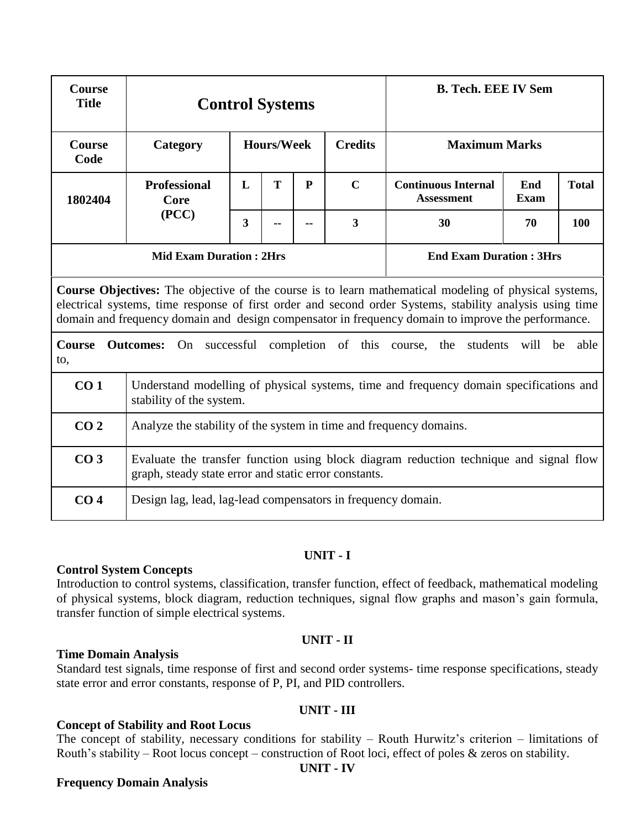| <b>Course</b><br><b>Title</b> |                                                                    |                         | <b>Control Systems</b> |              |                                | <b>B. Tech. EEE IV Sem</b>                                                                                                                                                                                                                                                                                              |                    |              |  |  |
|-------------------------------|--------------------------------------------------------------------|-------------------------|------------------------|--------------|--------------------------------|-------------------------------------------------------------------------------------------------------------------------------------------------------------------------------------------------------------------------------------------------------------------------------------------------------------------------|--------------------|--------------|--|--|
| Course<br>Code                | Category                                                           |                         | <b>Hours/Week</b>      |              | <b>Credits</b>                 | <b>Maximum Marks</b>                                                                                                                                                                                                                                                                                                    |                    |              |  |  |
| 1802404                       | <b>Professional</b><br>Core                                        | L                       | T                      | $\mathbf{P}$ | $\mathbf C$                    | <b>Continuous Internal</b><br><b>Assessment</b>                                                                                                                                                                                                                                                                         | End<br><b>Exam</b> | <b>Total</b> |  |  |
|                               | (PCC)                                                              | $\overline{\mathbf{3}}$ |                        |              | $\overline{\mathbf{3}}$        | 30                                                                                                                                                                                                                                                                                                                      | 70                 | 100          |  |  |
|                               | <b>Mid Exam Duration: 2Hrs</b>                                     |                         |                        |              | <b>End Exam Duration: 3Hrs</b> |                                                                                                                                                                                                                                                                                                                         |                    |              |  |  |
|                               |                                                                    |                         |                        |              |                                | Course Objectives: The objective of the course is to learn mathematical modeling of physical systems,<br>electrical systems, time response of first order and second order Systems, stability analysis using time<br>domain and frequency domain and design compensator in frequency domain to improve the performance. |                    |              |  |  |
| <b>Course</b><br>to,          |                                                                    |                         |                        |              |                                | <b>Outcomes:</b> On successful completion of this course, the students                                                                                                                                                                                                                                                  | will be            | able         |  |  |
| CO <sub>1</sub>               | stability of the system.                                           |                         |                        |              |                                | Understand modelling of physical systems, time and frequency domain specifications and                                                                                                                                                                                                                                  |                    |              |  |  |
| CO <sub>2</sub>               | Analyze the stability of the system in time and frequency domains. |                         |                        |              |                                |                                                                                                                                                                                                                                                                                                                         |                    |              |  |  |
| CO <sub>3</sub>               | graph, steady state error and static error constants.              |                         |                        |              |                                | Evaluate the transfer function using block diagram reduction technique and signal flow                                                                                                                                                                                                                                  |                    |              |  |  |
| CO <sub>4</sub>               | Design lag, lead, lag-lead compensators in frequency domain.       |                         |                        |              |                                |                                                                                                                                                                                                                                                                                                                         |                    |              |  |  |

### **Control System Concepts**

Introduction to control systems, classification, transfer function, effect of feedback, mathematical modeling of physical systems, block diagram, reduction techniques, signal flow graphs and mason's gain formula, transfer function of simple electrical systems.

#### **UNIT - II**

#### **Time Domain Analysis**

Standard test signals, time response of first and second order systems- time response specifications, steady state error and error constants, response of P, PI, and PID controllers.

#### **UNIT - III**

### **Concept of Stability and Root Locus**

The concept of stability, necessary conditions for stability – Routh Hurwitz's criterion – limitations of Routh's stability – Root locus concept – construction of Root loci, effect of poles & zeros on stability.

#### **UNIT - IV**

#### **Frequency Domain Analysis**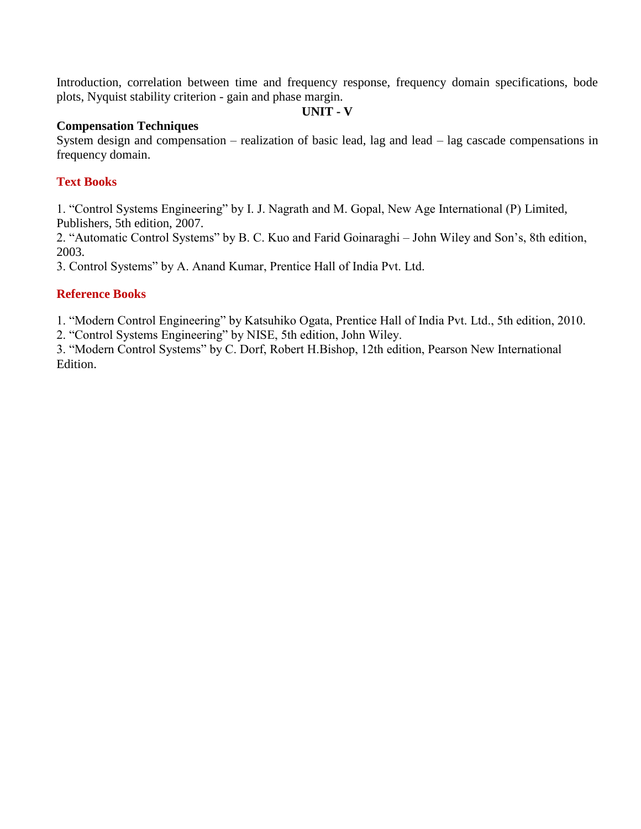Introduction, correlation between time and frequency response, frequency domain specifications, bode plots, Nyquist stability criterion - gain and phase margin.

#### **UNIT - V**

#### **Compensation Techniques**

System design and compensation – realization of basic lead, lag and lead – lag cascade compensations in frequency domain.

# **Text Books**

1. "Control Systems Engineering" by I. J. Nagrath and M. Gopal, New Age International (P) Limited, Publishers, 5th edition, 2007.

2. "Automatic Control Systems" by B. C. Kuo and Farid Goinaraghi – John Wiley and Son's, 8th edition, 2003.

3. Control Systems" by A. Anand Kumar, Prentice Hall of India Pvt. Ltd.

# **Reference Books**

1. "Modern Control Engineering" by Katsuhiko Ogata, Prentice Hall of India Pvt. Ltd., 5th edition, 2010.

2. "Control Systems Engineering" by NISE, 5th edition, John Wiley.

3. "Modern Control Systems" by C. Dorf, Robert H.Bishop, 12th edition, Pearson New International Edition.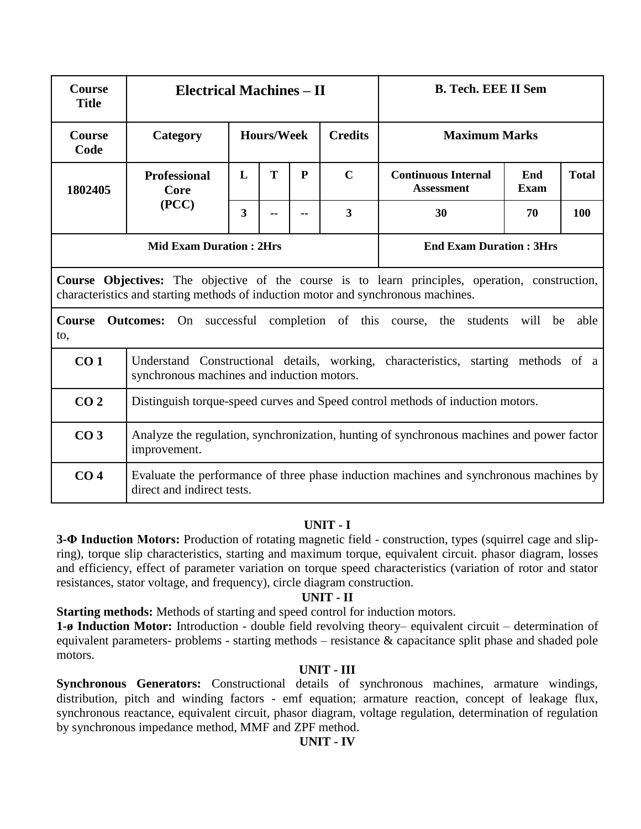| <b>Course</b><br><b>Title</b>                                                                                                                                                        | <b>Electrical Machines – II</b>                                                                                                  |                                     |   |   | <b>B. Tech. EEE II Sem</b> |                                                 |             |              |  |  |
|--------------------------------------------------------------------------------------------------------------------------------------------------------------------------------------|----------------------------------------------------------------------------------------------------------------------------------|-------------------------------------|---|---|----------------------------|-------------------------------------------------|-------------|--------------|--|--|
| <b>Course</b><br>Code                                                                                                                                                                | Category                                                                                                                         | <b>Hours/Week</b><br><b>Credits</b> |   |   |                            | <b>Maximum Marks</b>                            |             |              |  |  |
| 1802405                                                                                                                                                                              | <b>Professional</b><br>Core<br>(PCC)                                                                                             | L                                   | T | P | $\mathbf C$                | <b>Continuous Internal</b><br><b>Assessment</b> | End<br>Exam | <b>Total</b> |  |  |
|                                                                                                                                                                                      |                                                                                                                                  | 3                                   |   |   | $\overline{\mathbf{3}}$    | 30                                              | 70          | 100          |  |  |
|                                                                                                                                                                                      | <b>Mid Exam Duration: 2Hrs</b>                                                                                                   | <b>End Exam Duration: 3Hrs</b>      |   |   |                            |                                                 |             |              |  |  |
| Course Objectives: The objective of the course is to learn principles, operation, construction,<br>characteristics and starting methods of induction motor and synchronous machines. |                                                                                                                                  |                                     |   |   |                            |                                                 |             |              |  |  |
| Course<br><b>Outcomes:</b> On successful completion of this course, the students will<br>able<br>be<br>to,                                                                           |                                                                                                                                  |                                     |   |   |                            |                                                 |             |              |  |  |
| CO <sub>1</sub>                                                                                                                                                                      | Understand Constructional details, working, characteristics, starting methods of a<br>synchronous machines and induction motors. |                                     |   |   |                            |                                                 |             |              |  |  |
| CO <sub>2</sub>                                                                                                                                                                      | Distinguish torque-speed curves and Speed control methods of induction motors.                                                   |                                     |   |   |                            |                                                 |             |              |  |  |
| CO <sub>3</sub>                                                                                                                                                                      | Analyze the regulation, synchronization, hunting of synchronous machines and power factor<br>improvement.                        |                                     |   |   |                            |                                                 |             |              |  |  |
| CO <sub>4</sub>                                                                                                                                                                      | Evaluate the performance of three phase induction machines and synchronous machines by<br>direct and indirect tests.             |                                     |   |   |                            |                                                 |             |              |  |  |

**3-Φ Induction Motors:** Production of rotating magnetic field - construction, types (squirrel cage and slipring), torque slip characteristics, starting and maximum torque, equivalent circuit. phasor diagram, losses and efficiency, effect of parameter variation on torque speed characteristics (variation of rotor and stator resistances, stator voltage, and frequency), circle diagram construction.

#### **UNIT - II**

**Starting methods:** Methods of starting and speed control for induction motors.

**1-ø Induction Motor:** Introduction - double field revolving theory– equivalent circuit – determination of equivalent parameters- problems - starting methods – resistance & capacitance split phase and shaded pole motors.

#### **UNIT - III**

**Synchronous Generators:** Constructional details of synchronous machines, armature windings, distribution, pitch and winding factors - emf equation; armature reaction, concept of leakage flux, synchronous reactance, equivalent circuit, phasor diagram, voltage regulation, determination of regulation by synchronous impedance method, MMF and ZPF method.

#### **UNIT - IV**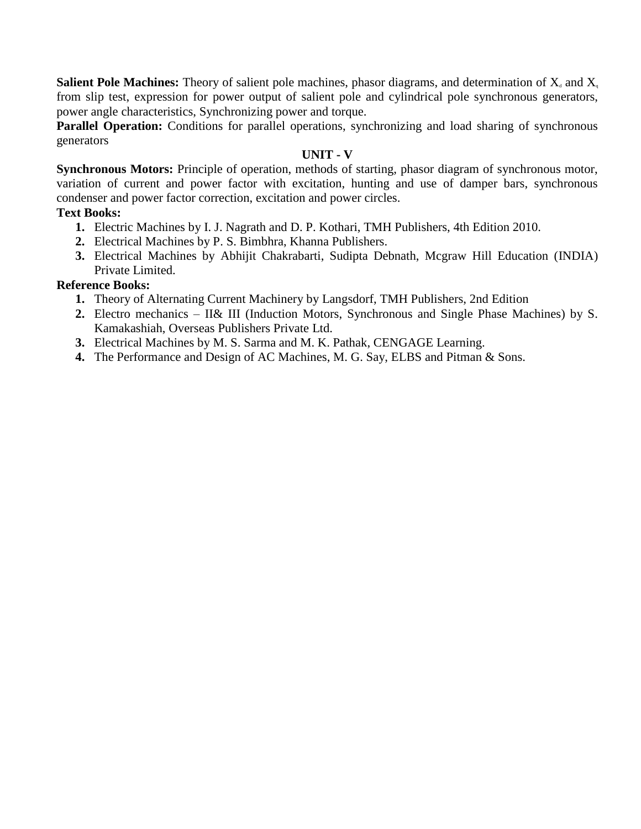**Salient Pole Machines:** Theory of salient pole machines, phasor diagrams, and determination of  $X_d$  and  $X_q$ from slip test, expression for power output of salient pole and cylindrical pole synchronous generators, power angle characteristics, Synchronizing power and torque.

Parallel Operation: Conditions for parallel operations, synchronizing and load sharing of synchronous generators

# **UNIT - V**

**Synchronous Motors:** Principle of operation, methods of starting, phasor diagram of synchronous motor, variation of current and power factor with excitation, hunting and use of damper bars, synchronous condenser and power factor correction, excitation and power circles.

# **Text Books:**

- **1.** Electric Machines by I. J. Nagrath and D. P. Kothari, TMH Publishers, 4th Edition 2010.
- **2.** Electrical Machines by P. S. Bimbhra, Khanna Publishers.
- **3.** Electrical Machines by Abhijit Chakrabarti, Sudipta Debnath, Mcgraw Hill Education (INDIA) Private Limited.

# **Reference Books:**

- **1.** Theory of Alternating Current Machinery by Langsdorf, TMH Publishers, 2nd Edition
- **2.** Electro mechanics II& III (Induction Motors, Synchronous and Single Phase Machines) by S. Kamakashiah, Overseas Publishers Private Ltd.
- **3.** Electrical Machines by M. S. Sarma and M. K. Pathak, CENGAGE Learning.
- **4.** The Performance and Design of AC Machines, M. G. Say, ELBS and Pitman & Sons.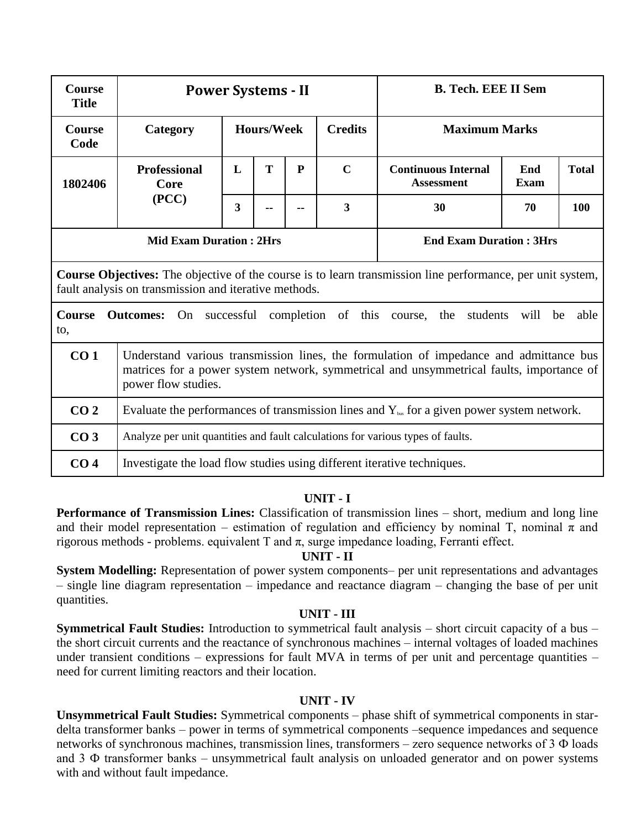| <b>Course</b><br><b>Title</b>                                                                                                                                              | <b>Power Systems - II</b>                                                                                                                                                                                 |                                                                                                        |                                |  | <b>B. Tech. EEE II Sem</b> |                                                 |                    |              |  |  |  |
|----------------------------------------------------------------------------------------------------------------------------------------------------------------------------|-----------------------------------------------------------------------------------------------------------------------------------------------------------------------------------------------------------|--------------------------------------------------------------------------------------------------------|--------------------------------|--|----------------------------|-------------------------------------------------|--------------------|--------------|--|--|--|
| <b>Course</b><br>Code                                                                                                                                                      | Category                                                                                                                                                                                                  |                                                                                                        | <b>Hours/Week</b>              |  | <b>Credits</b>             | <b>Maximum Marks</b>                            |                    |              |  |  |  |
| 1802406                                                                                                                                                                    | <b>Professional</b><br>Core<br>(PCC)                                                                                                                                                                      | L                                                                                                      | T<br>P                         |  | $\mathbf C$                | <b>Continuous Internal</b><br><b>Assessment</b> | End<br><b>Exam</b> | <b>Total</b> |  |  |  |
|                                                                                                                                                                            |                                                                                                                                                                                                           | 3                                                                                                      |                                |  | $\overline{\mathbf{3}}$    | 30                                              | 70                 | 100          |  |  |  |
|                                                                                                                                                                            | <b>Mid Exam Duration: 2Hrs</b>                                                                                                                                                                            |                                                                                                        | <b>End Exam Duration: 3Hrs</b> |  |                            |                                                 |                    |              |  |  |  |
| <b>Course Objectives:</b> The objective of the course is to learn transmission line performance, per unit system,<br>fault analysis on transmission and iterative methods. |                                                                                                                                                                                                           |                                                                                                        |                                |  |                            |                                                 |                    |              |  |  |  |
| Course<br><b>Outcomes:</b> On successful completion of this course, the students<br>will<br>able<br>be<br>to,                                                              |                                                                                                                                                                                                           |                                                                                                        |                                |  |                            |                                                 |                    |              |  |  |  |
| CO <sub>1</sub>                                                                                                                                                            | Understand various transmission lines, the formulation of impedance and admittance bus<br>matrices for a power system network, symmetrical and unsymmetrical faults, importance of<br>power flow studies. |                                                                                                        |                                |  |                            |                                                 |                    |              |  |  |  |
| CO <sub>2</sub>                                                                                                                                                            |                                                                                                                                                                                                           | Evaluate the performances of transmission lines and $Y_{\text{bus}}$ for a given power system network. |                                |  |                            |                                                 |                    |              |  |  |  |
| CO <sub>3</sub>                                                                                                                                                            | Analyze per unit quantities and fault calculations for various types of faults.                                                                                                                           |                                                                                                        |                                |  |                            |                                                 |                    |              |  |  |  |
| CO <sub>4</sub>                                                                                                                                                            | Investigate the load flow studies using different iterative techniques.                                                                                                                                   |                                                                                                        |                                |  |                            |                                                 |                    |              |  |  |  |

**Performance of Transmission Lines:** Classification of transmission lines – short, medium and long line and their model representation – estimation of regulation and efficiency by nominal T, nominal  $\pi$  and rigorous methods - problems, equivalent T and  $\pi$ , surge impedance loading, Ferranti effect.

#### **UNIT - II**

**System Modelling:** Representation of power system components– per unit representations and advantages – single line diagram representation – impedance and reactance diagram – changing the base of per unit quantities.

#### **UNIT - III**

**Symmetrical Fault Studies:** Introduction to symmetrical fault analysis – short circuit capacity of a bus – the short circuit currents and the reactance of synchronous machines – internal voltages of loaded machines under transient conditions – expressions for fault MVA in terms of per unit and percentage quantities – need for current limiting reactors and their location.

#### **UNIT - IV**

**Unsymmetrical Fault Studies:** Symmetrical components – phase shift of symmetrical components in stardelta transformer banks – power in terms of symmetrical components –sequence impedances and sequence networks of synchronous machines, transmission lines, transformers – zero sequence networks of 3 Ф loads and 3 Ф transformer banks – unsymmetrical fault analysis on unloaded generator and on power systems with and without fault impedance.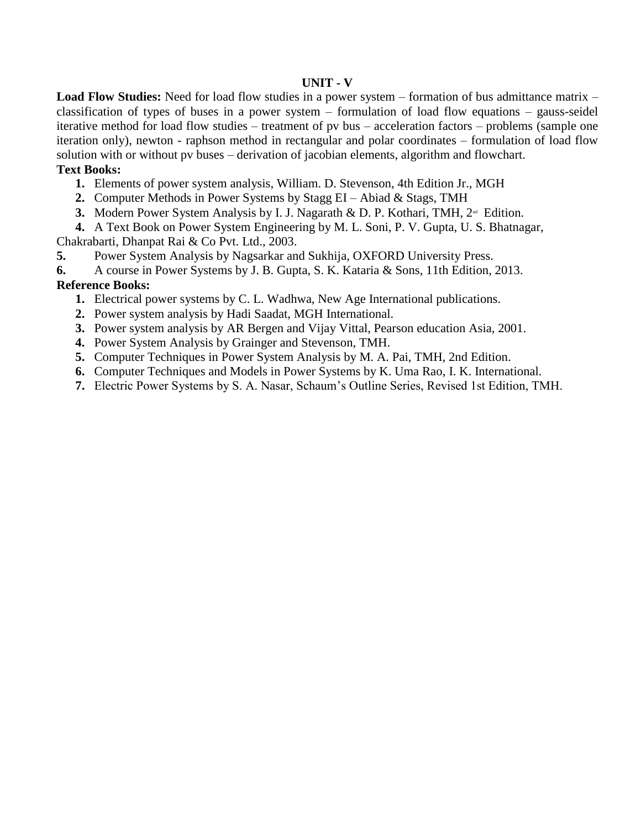#### **UNIT - V**

**Load Flow Studies:** Need for load flow studies in a power system – formation of bus admittance matrix – classification of types of buses in a power system – formulation of load flow equations – gauss-seidel iterative method for load flow studies – treatment of pv bus – acceleration factors – problems (sample one iteration only), newton - raphson method in rectangular and polar coordinates – formulation of load flow solution with or without pv buses – derivation of jacobian elements, algorithm and flowchart.

#### **Text Books:**

- **1.** Elements of power system analysis, William. D. Stevenson, 4th Edition Jr., MGH
- **2.** Computer Methods in Power Systems by Stagg EI Abiad & Stags, TMH
- **3.** Modern Power System Analysis by I. J. Nagarath & D. P. Kothari, TMH, 2<sup>nd</sup> Edition.

**4.** A Text Book on Power System Engineering by M. L. Soni, P. V. Gupta, U. S. Bhatnagar, Chakrabarti, Dhanpat Rai & Co Pvt. Ltd., 2003.

- **5.** Power System Analysis by Nagsarkar and Sukhija, OXFORD University Press.
- **6.** A course in Power Systems by J. B. Gupta, S. K. Kataria & Sons, 11th Edition, 2013.

#### **Reference Books:**

- **1.** Electrical power systems by C. L. Wadhwa, New Age International publications.
- **2.** Power system analysis by Hadi Saadat, MGH International.
- **3.** Power system analysis by AR Bergen and Vijay Vittal, Pearson education Asia, 2001.
- **4.** Power System Analysis by Grainger and Stevenson, TMH.
- **5.** Computer Techniques in Power System Analysis by M. A. Pai, TMH, 2nd Edition.
- **6.** Computer Techniques and Models in Power Systems by K. Uma Rao, I. K. International.
- **7.** Electric Power Systems by S. A. Nasar, Schaum's Outline Series, Revised 1st Edition, TMH.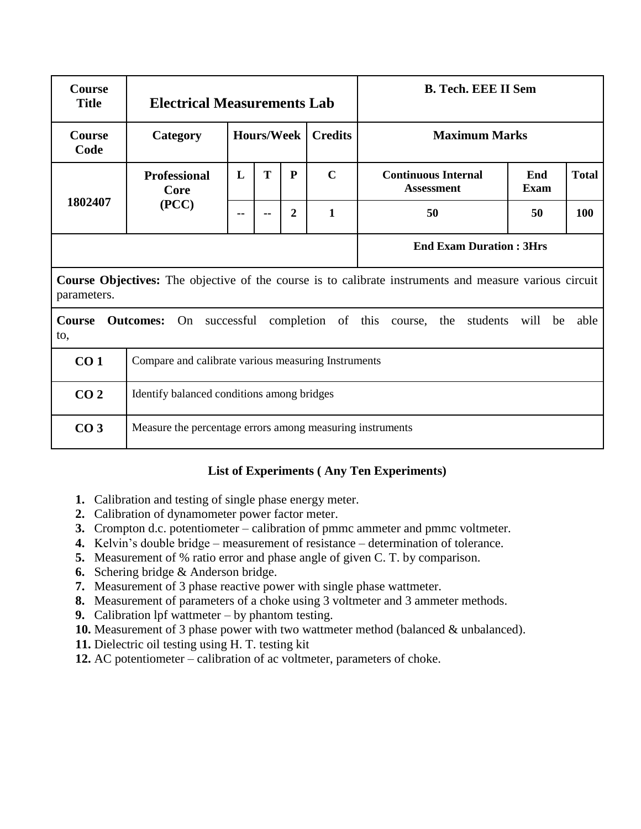| <b>Course</b><br><b>Title</b>                                                                                                | <b>Electrical Measurements Lab</b>                        |                   |                                |              |                | <b>B. Tech. EEE II Sem</b>                      |             |              |  |  |  |
|------------------------------------------------------------------------------------------------------------------------------|-----------------------------------------------------------|-------------------|--------------------------------|--------------|----------------|-------------------------------------------------|-------------|--------------|--|--|--|
| <b>Course</b><br>Code                                                                                                        | Category                                                  | <b>Hours/Week</b> |                                |              | <b>Credits</b> | <b>Maximum Marks</b>                            |             |              |  |  |  |
| 1802407                                                                                                                      | <b>Professional</b><br>Core                               | L                 | T                              | $\mathbf{P}$ | $\mathbf C$    | <b>Continuous Internal</b><br><b>Assessment</b> | End<br>Exam | <b>Total</b> |  |  |  |
|                                                                                                                              | (PCC)                                                     |                   |                                | 2            | $\mathbf{1}$   | 50                                              | 50          | 100          |  |  |  |
|                                                                                                                              |                                                           |                   | <b>End Exam Duration: 3Hrs</b> |              |                |                                                 |             |              |  |  |  |
| <b>Course Objectives:</b> The objective of the course is to calibrate instruments and measure various circuit<br>parameters. |                                                           |                   |                                |              |                |                                                 |             |              |  |  |  |
| On<br><b>Course</b><br><b>Outcomes:</b><br>successful completion of this course, the students<br>will be<br>to,              |                                                           |                   |                                |              |                |                                                 | able        |              |  |  |  |
| CO <sub>1</sub>                                                                                                              | Compare and calibrate various measuring Instruments       |                   |                                |              |                |                                                 |             |              |  |  |  |
| CO <sub>2</sub>                                                                                                              | Identify balanced conditions among bridges                |                   |                                |              |                |                                                 |             |              |  |  |  |
| CO <sub>3</sub>                                                                                                              | Measure the percentage errors among measuring instruments |                   |                                |              |                |                                                 |             |              |  |  |  |

# **List of Experiments ( Any Ten Experiments)**

- **1.** Calibration and testing of single phase energy meter.
- **2.** Calibration of dynamometer power factor meter.
- **3.** Crompton d.c. potentiometer calibration of pmmc ammeter and pmmc voltmeter.
- **4.** Kelvin's double bridge measurement of resistance determination of tolerance.
- **5.** Measurement of % ratio error and phase angle of given C. T. by comparison.
- **6.** Schering bridge & Anderson bridge.
- **7.** Measurement of 3 phase reactive power with single phase wattmeter.
- **8.** Measurement of parameters of a choke using 3 voltmeter and 3 ammeter methods.
- **9.** Calibration lpf wattmeter by phantom testing.
- **10.** Measurement of 3 phase power with two wattmeter method (balanced & unbalanced).
- **11.** Dielectric oil testing using H. T. testing kit
- **12.** AC potentiometer calibration of ac voltmeter, parameters of choke.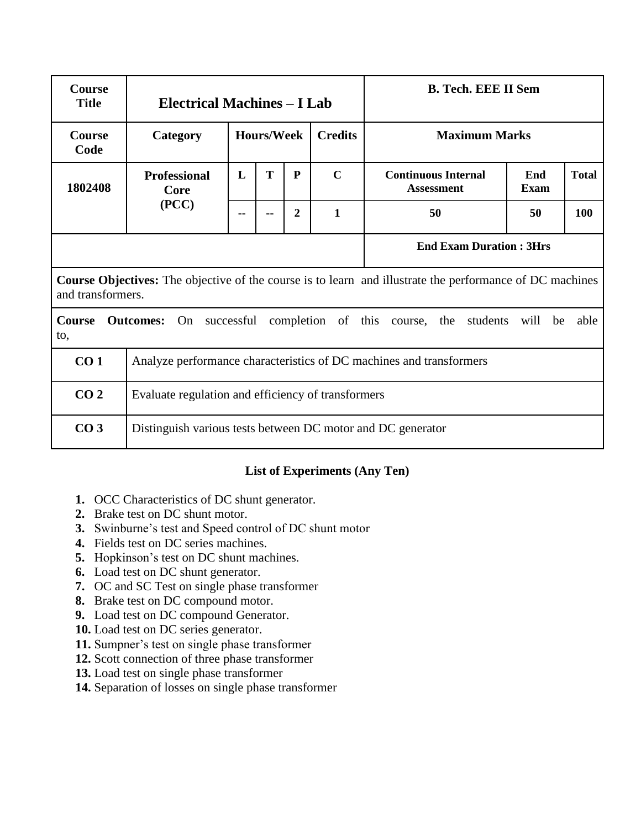| <b>Course</b><br><b>Title</b>                                                                                                 | <b>Electrical Machines – I Lab</b>                                  |                   |   |              |                | <b>B. Tech. EEE II Sem</b>                      |                      |              |  |  |
|-------------------------------------------------------------------------------------------------------------------------------|---------------------------------------------------------------------|-------------------|---|--------------|----------------|-------------------------------------------------|----------------------|--------------|--|--|
| <b>Course</b><br>Code                                                                                                         | Category                                                            | <b>Hours/Week</b> |   |              | <b>Credits</b> |                                                 | <b>Maximum Marks</b> |              |  |  |
| 1802408                                                                                                                       | <b>Professional</b><br>Core<br>(PCC)                                | L                 | T | $\mathbf{P}$ | $\mathbf C$    | <b>Continuous Internal</b><br><b>Assessment</b> | End<br><b>Exam</b>   | <b>Total</b> |  |  |
|                                                                                                                               |                                                                     |                   |   | $\mathbf{2}$ | $\mathbf{1}$   | 50                                              | 50                   | 100          |  |  |
| <b>End Exam Duration: 3Hrs</b>                                                                                                |                                                                     |                   |   |              |                |                                                 |                      |              |  |  |
| Course Objectives: The objective of the course is to learn and illustrate the performance of DC machines<br>and transformers. |                                                                     |                   |   |              |                |                                                 |                      |              |  |  |
| Course<br><b>Outcomes:</b> On successful completion of this course, the students<br>will be<br>to,                            |                                                                     |                   |   |              |                |                                                 | able                 |              |  |  |
| CO <sub>1</sub>                                                                                                               | Analyze performance characteristics of DC machines and transformers |                   |   |              |                |                                                 |                      |              |  |  |
| CO <sub>2</sub>                                                                                                               | Evaluate regulation and efficiency of transformers                  |                   |   |              |                |                                                 |                      |              |  |  |
| CO <sub>3</sub>                                                                                                               | Distinguish various tests between DC motor and DC generator         |                   |   |              |                |                                                 |                      |              |  |  |

# **List of Experiments (Any Ten)**

- **1.** OCC Characteristics of DC shunt generator.
- **2.** Brake test on DC shunt motor.
- **3.** Swinburne's test and Speed control of DC shunt motor
- **4.** Fields test on DC series machines.
- **5.** Hopkinson's test on DC shunt machines.
- **6.** Load test on DC shunt generator.
- **7.** OC and SC Test on single phase transformer
- **8.** Brake test on DC compound motor.
- **9.** Load test on DC compound Generator.
- **10.** Load test on DC series generator.
- **11.** Sumpner's test on single phase transformer
- **12.** Scott connection of three phase transformer
- **13.** Load test on single phase transformer
- **14.** Separation of losses on single phase transformer